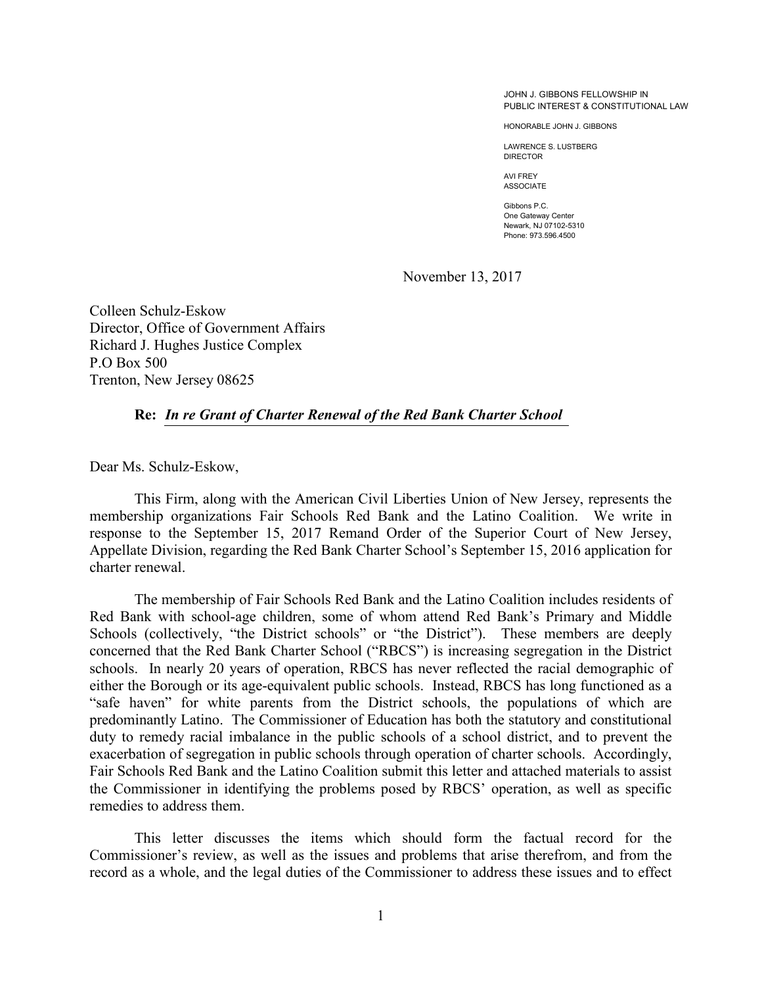JOHN J. GIBBONS FELLOWSHIP IN PUBLIC INTEREST & CONSTITUTIONAL LAW

HONORABLE JOHN J. GIBBONS

LAWRENCE S. LUSTBERG DIRECTOR

AVI FREY ASSOCIATE

Gibbons P.C. One Gateway Center Newark, NJ 07102-5310 Phone: 973.596.4500

November 13, 2017

Colleen Schulz-Eskow Director, Office of Government Affairs Richard J. Hughes Justice Complex P.O Box 500 Trenton, New Jersey 08625

#### **Re:** *In re Grant of Charter Renewal of the Red Bank Charter School*

Dear Ms. Schulz-Eskow,

This Firm, along with the American Civil Liberties Union of New Jersey, represents the membership organizations Fair Schools Red Bank and the Latino Coalition. We write in response to the September 15, 2017 Remand Order of the Superior Court of New Jersey, Appellate Division, regarding the Red Bank Charter School's September 15, 2016 application for charter renewal.

The membership of Fair Schools Red Bank and the Latino Coalition includes residents of Red Bank with school-age children, some of whom attend Red Bank's Primary and Middle Schools (collectively, "the District schools" or "the District"). These members are deeply concerned that the Red Bank Charter School ("RBCS") is increasing segregation in the District schools. In nearly 20 years of operation, RBCS has never reflected the racial demographic of either the Borough or its age-equivalent public schools. Instead, RBCS has long functioned as a "safe haven" for white parents from the District schools, the populations of which are predominantly Latino. The Commissioner of Education has both the statutory and constitutional duty to remedy racial imbalance in the public schools of a school district, and to prevent the exacerbation of segregation in public schools through operation of charter schools. Accordingly, Fair Schools Red Bank and the Latino Coalition submit this letter and attached materials to assist the Commissioner in identifying the problems posed by RBCS' operation, as well as specific remedies to address them.

This letter discusses the items which should form the factual record for the Commissioner's review, as well as the issues and problems that arise therefrom, and from the record as a whole, and the legal duties of the Commissioner to address these issues and to effect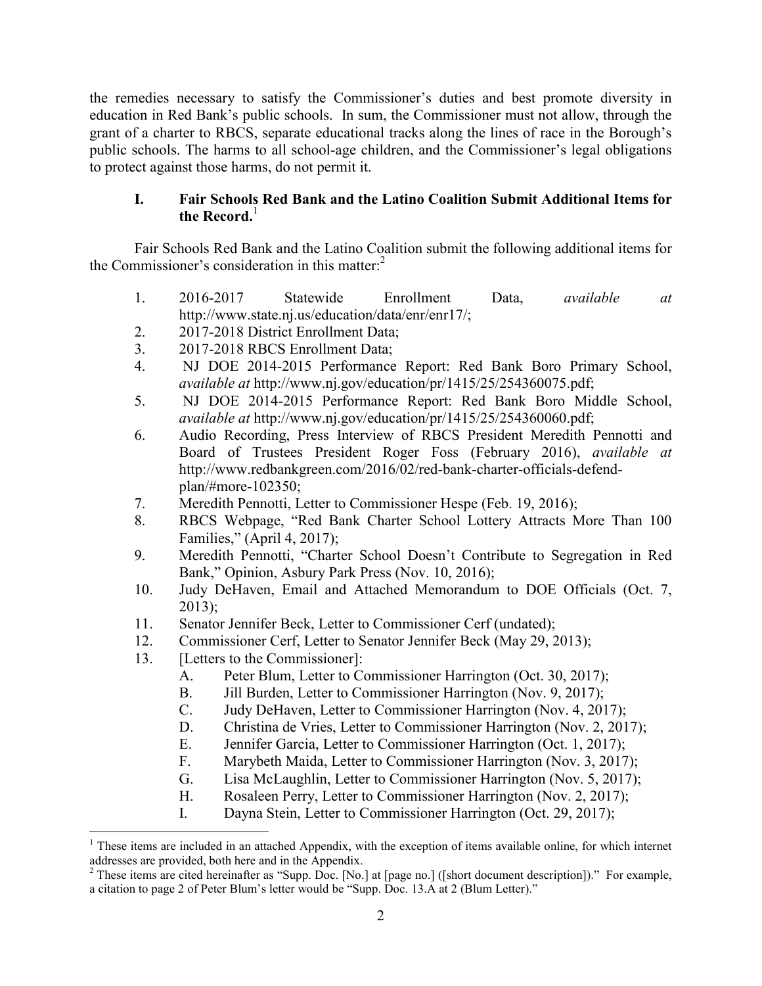the remedies necessary to satisfy the Commissioner's duties and best promote diversity in education in Red Bank's public schools. In sum, the Commissioner must not allow, through the grant of a charter to RBCS, separate educational tracks along the lines of race in the Borough's public schools. The harms to all school-age children, and the Commissioner's legal obligations to protect against those harms, do not permit it.

# **I. Fair Schools Red Bank and the Latino Coalition Submit Additional Items for**  the Record.<sup>1</sup>

Fair Schools Red Bank and the Latino Coalition submit the following additional items for the Commissioner's consideration in this matter: $2<sup>2</sup>$ 

- 1. 2016-2017 Statewide Enrollment Data, *available at*  http://www.state.nj.us/education/data/enr/enr17/;
- 2. 2017-2018 District Enrollment Data;
- 3. 2017-2018 RBCS Enrollment Data;
- 4. NJ DOE 2014-2015 Performance Report: Red Bank Boro Primary School, *available at* http://www.nj.gov/education/pr/1415/25/254360075.pdf;
- 5. NJ DOE 2014-2015 Performance Report: Red Bank Boro Middle School, *available at* http://www.nj.gov/education/pr/1415/25/254360060.pdf;
- 6. Audio Recording, Press Interview of RBCS President Meredith Pennotti and Board of Trustees President Roger Foss (February 2016), *available at*  http://www.redbankgreen.com/2016/02/red-bank-charter-officials-defendplan/#more-102350;
- 7. Meredith Pennotti, Letter to Commissioner Hespe (Feb. 19, 2016);
- 8. RBCS Webpage, "Red Bank Charter School Lottery Attracts More Than 100 Families," (April 4, 2017);
- 9. Meredith Pennotti, "Charter School Doesn't Contribute to Segregation in Red Bank," Opinion, Asbury Park Press (Nov. 10, 2016);
- 10. Judy DeHaven, Email and Attached Memorandum to DOE Officials (Oct. 7,  $2013$ ;
- 11. Senator Jennifer Beck, Letter to Commissioner Cerf (undated);
- 12. Commissioner Cerf, Letter to Senator Jennifer Beck (May 29, 2013);
- 13. [Letters to the Commissioner]:
	- A. Peter Blum, Letter to Commissioner Harrington (Oct. 30, 2017);
	- B. Jill Burden, Letter to Commissioner Harrington (Nov. 9, 2017);
	- C. Judy DeHaven, Letter to Commissioner Harrington (Nov. 4, 2017);
	- D. Christina de Vries, Letter to Commissioner Harrington (Nov. 2, 2017);
	- E. Jennifer Garcia, Letter to Commissioner Harrington (Oct. 1, 2017);
	- F. Marybeth Maida, Letter to Commissioner Harrington (Nov. 3, 2017);
	- G. Lisa McLaughlin, Letter to Commissioner Harrington (Nov. 5, 2017);
	- H. Rosaleen Perry, Letter to Commissioner Harrington (Nov. 2, 2017);
	- I. Dayna Stein, Letter to Commissioner Harrington (Oct. 29, 2017);

<sup>&</sup>lt;sup>1</sup> These items are included in an attached Appendix, with the exception of items available online, for which internet addresses are provided, both here and in the Appendix.<br><sup>2</sup> These items are cited hereinafter as "Supp. Doc. [No.] at [page no.] ([short document description])." For example,

a citation to page 2 of Peter Blum's letter would be "Supp. Doc. 13.A at 2 (Blum Letter)."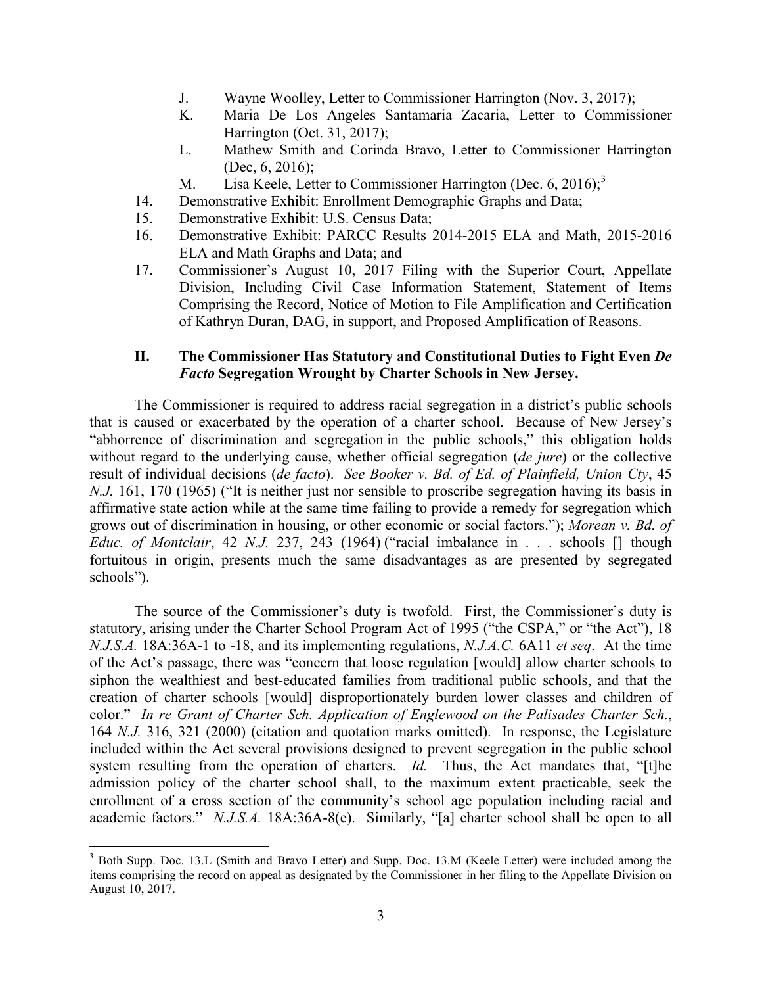- J. Wayne Woolley, Letter to Commissioner Harrington (Nov. 3, 2017);
- K. Maria De Los Angeles Santamaria Zacaria, Letter to Commissioner Harrington (Oct. 31, 2017);
- L. Mathew Smith and Corinda Bravo, Letter to Commissioner Harrington (Dec, 6, 2016);
- M. Lisa Keele, Letter to Commissioner Harrington (Dec. 6, 2016);<sup>3</sup>
- 14. Demonstrative Exhibit: Enrollment Demographic Graphs and Data;
- 15. Demonstrative Exhibit: U.S. Census Data;
- 16. Demonstrative Exhibit: PARCC Results 2014-2015 ELA and Math, 2015-2016 ELA and Math Graphs and Data; and
- 17. Commissioner's August 10, 2017 Filing with the Superior Court, Appellate Division, Including Civil Case Information Statement, Statement of Items Comprising the Record, Notice of Motion to File Amplification and Certification of Kathryn Duran, DAG, in support, and Proposed Amplification of Reasons.

# **II. The Commissioner Has Statutory and Constitutional Duties to Fight Even** *De Facto* **Segregation Wrought by Charter Schools in New Jersey.**

The Commissioner is required to address racial segregation in a district's public schools that is caused or exacerbated by the operation of a charter school. Because of New Jersey's "abhorrence of discrimination and segregation in the public schools," this obligation holds without regard to the underlying cause, whether official segregation (*de jure*) or the collective result of individual decisions (*de facto*). *See Booker v. Bd. of Ed. of Plainfield, Union Cty*, 45 *N.J.* 161, 170 (1965) ("It is neither just nor sensible to proscribe segregation having its basis in affirmative state action while at the same time failing to provide a remedy for segregation which grows out of discrimination in housing, or other economic or social factors."); *Morean v. Bd. of Educ. of Montclair*, 42 *N.J.* 237, 243 (1964) ("racial imbalance in . . . schools [] though fortuitous in origin, presents much the same disadvantages as are presented by segregated schools").

The source of the Commissioner's duty is twofold. First, the Commissioner's duty is statutory, arising under the Charter School Program Act of 1995 ("the CSPA," or "the Act"), 18 *N.J.S.A.* 18A:36A-1 to -18, and its implementing regulations, *N.J.A.C.* 6A11 *et seq*. At the time of the Act's passage, there was "concern that loose regulation [would] allow charter schools to siphon the wealthiest and best-educated families from traditional public schools, and that the creation of charter schools [would] disproportionately burden lower classes and children of color." *In re Grant of Charter Sch. Application of Englewood on the Palisades Charter Sch.*, 164 *N.J.* 316, 321 (2000) (citation and quotation marks omitted). In response, the Legislature included within the Act several provisions designed to prevent segregation in the public school system resulting from the operation of charters. *Id.* Thus, the Act mandates that, "[t]he admission policy of the charter school shall, to the maximum extent practicable, seek the enrollment of a cross section of the community's school age population including racial and academic factors." *N.J.S.A.* 18A:36A-8(e). Similarly, "[a] charter school shall be open to all

<sup>&</sup>lt;sup>3</sup> Both Supp. Doc. 13.L (Smith and Bravo Letter) and Supp. Doc. 13.M (Keele Letter) were included among the items comprising the record on appeal as designated by the Commissioner in her filing to the Appellate Division on August 10, 2017.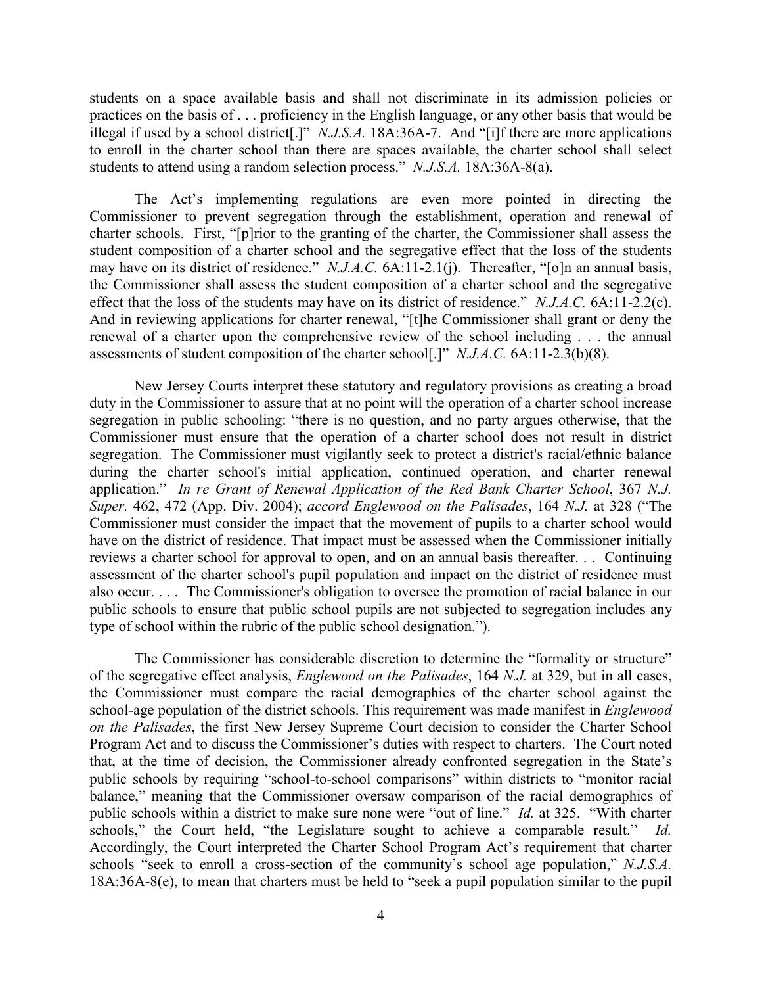students on a space available basis and shall not discriminate in its admission policies or practices on the basis of . . . proficiency in the English language, or any other basis that would be illegal if used by a school district[.]" *N.J.S.A.* 18A:36A-7. And "[i]f there are more applications to enroll in the charter school than there are spaces available, the charter school shall select students to attend using a random selection process." *N.J.S.A.* 18A:36A-8(a).

The Act's implementing regulations are even more pointed in directing the Commissioner to prevent segregation through the establishment, operation and renewal of charter schools. First, "[p]rior to the granting of the charter, the Commissioner shall assess the student composition of a charter school and the segregative effect that the loss of the students may have on its district of residence." *N.J.A.C.* 6A:11-2.1(j). Thereafter, "[o]n an annual basis, the Commissioner shall assess the student composition of a charter school and the segregative effect that the loss of the students may have on its district of residence." *N.J.A.C.* 6A:11-2.2(c). And in reviewing applications for charter renewal, "[t]he Commissioner shall grant or deny the renewal of a charter upon the comprehensive review of the school including . . . the annual assessments of student composition of the charter school[.]" *N.J.A.C.* 6A:11-2.3(b)(8).

New Jersey Courts interpret these statutory and regulatory provisions as creating a broad duty in the Commissioner to assure that at no point will the operation of a charter school increase segregation in public schooling: "there is no question, and no party argues otherwise, that the Commissioner must ensure that the operation of a charter school does not result in district segregation. The Commissioner must vigilantly seek to protect a district's racial/ethnic balance during the charter school's initial application, continued operation, and charter renewal application." *In re Grant of Renewal Application of the Red Bank Charter School*, 367 *N.J. Super.* 462, 472 (App. Div. 2004); *accord Englewood on the Palisades*, 164 *N.J.* at 328 ("The Commissioner must consider the impact that the movement of pupils to a charter school would have on the district of residence. That impact must be assessed when the Commissioner initially reviews a charter school for approval to open, and on an annual basis thereafter. . . Continuing assessment of the charter school's pupil population and impact on the district of residence must also occur. . . . The Commissioner's obligation to oversee the promotion of racial balance in our public schools to ensure that public school pupils are not subjected to segregation includes any type of school within the rubric of the public school designation.").

The Commissioner has considerable discretion to determine the "formality or structure" of the segregative effect analysis, *Englewood on the Palisades*, 164 *N.J.* at 329, but in all cases, the Commissioner must compare the racial demographics of the charter school against the school-age population of the district schools. This requirement was made manifest in *Englewood on the Palisades*, the first New Jersey Supreme Court decision to consider the Charter School Program Act and to discuss the Commissioner's duties with respect to charters. The Court noted that, at the time of decision, the Commissioner already confronted segregation in the State's public schools by requiring "school-to-school comparisons" within districts to "monitor racial balance," meaning that the Commissioner oversaw comparison of the racial demographics of public schools within a district to make sure none were "out of line." *Id.* at 325. "With charter schools," the Court held, "the Legislature sought to achieve a comparable result." *Id.* Accordingly, the Court interpreted the Charter School Program Act's requirement that charter schools "seek to enroll a cross-section of the community's school age population," *N.J.S.A.* 18A:36A-8(e), to mean that charters must be held to "seek a pupil population similar to the pupil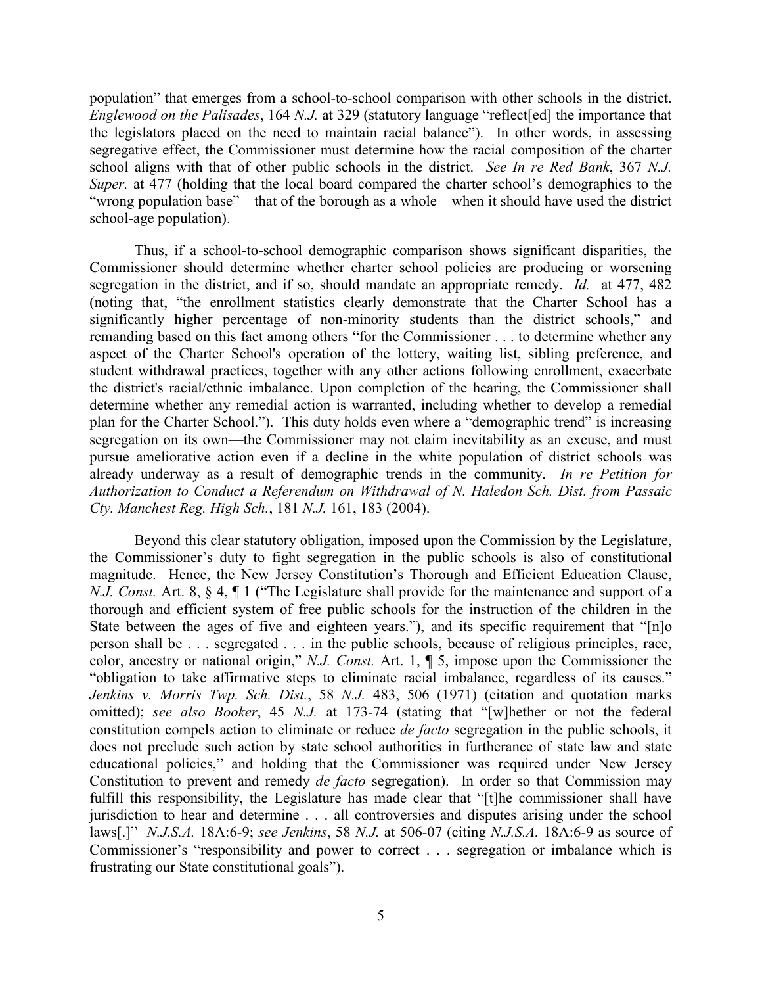population" that emerges from a school-to-school comparison with other schools in the district. *Englewood on the Palisades*, 164 *N.J.* at 329 (statutory language "reflect[ed] the importance that the legislators placed on the need to maintain racial balance"). In other words, in assessing segregative effect, the Commissioner must determine how the racial composition of the charter school aligns with that of other public schools in the district. *See In re Red Bank*, 367 *N.J. Super.* at 477 (holding that the local board compared the charter school's demographics to the "wrong population base"—that of the borough as a whole—when it should have used the district school-age population).

Thus, if a school-to-school demographic comparison shows significant disparities, the Commissioner should determine whether charter school policies are producing or worsening segregation in the district, and if so, should mandate an appropriate remedy. *Id.* at 477, 482 (noting that, "the enrollment statistics clearly demonstrate that the Charter School has a significantly higher percentage of non-minority students than the district schools," and remanding based on this fact among others "for the Commissioner . . . to determine whether any aspect of the Charter School's operation of the lottery, waiting list, sibling preference, and student withdrawal practices, together with any other actions following enrollment, exacerbate the district's racial/ethnic imbalance. Upon completion of the hearing, the Commissioner shall determine whether any remedial action is warranted, including whether to develop a remedial plan for the Charter School."). This duty holds even where a "demographic trend" is increasing segregation on its own—the Commissioner may not claim inevitability as an excuse, and must pursue ameliorative action even if a decline in the white population of district schools was already underway as a result of demographic trends in the community. *In re Petition for Authorization to Conduct a Referendum on Withdrawal of N. Haledon Sch. Dist. from Passaic Cty. Manchest Reg. High Sch.*, 181 *N.J.* 161, 183 (2004).

Beyond this clear statutory obligation, imposed upon the Commission by the Legislature, the Commissioner's duty to fight segregation in the public schools is also of constitutional magnitude. Hence, the New Jersey Constitution's Thorough and Efficient Education Clause, *N.J. Const.* Art. 8, § 4, ¶ 1 ("The Legislature shall provide for the maintenance and support of a thorough and efficient system of free public schools for the instruction of the children in the State between the ages of five and eighteen years."), and its specific requirement that "[n]o person shall be . . . segregated . . . in the public schools, because of religious principles, race, color, ancestry or national origin," *N.J. Const.* Art. 1, ¶ 5, impose upon the Commissioner the "obligation to take affirmative steps to eliminate racial imbalance, regardless of its causes." *Jenkins v. Morris Twp. Sch. Dist.*, 58 *N.J.* 483, 506 (1971) (citation and quotation marks omitted); *see also Booker*, 45 *N.J.* at 173-74 (stating that "[w]hether or not the federal constitution compels action to eliminate or reduce *de facto* segregation in the public schools, it does not preclude such action by state school authorities in furtherance of state law and state educational policies," and holding that the Commissioner was required under New Jersey Constitution to prevent and remedy *de facto* segregation). In order so that Commission may fulfill this responsibility, the Legislature has made clear that "[t]he commissioner shall have jurisdiction to hear and determine . . . all controversies and disputes arising under the school laws[.]" *N.J.S.A.* 18A:6-9; *see Jenkins*, 58 *N.J.* at 506-07 (citing *N.J.S.A.* 18A:6-9 as source of Commissioner's "responsibility and power to correct . . . segregation or imbalance which is frustrating our State constitutional goals").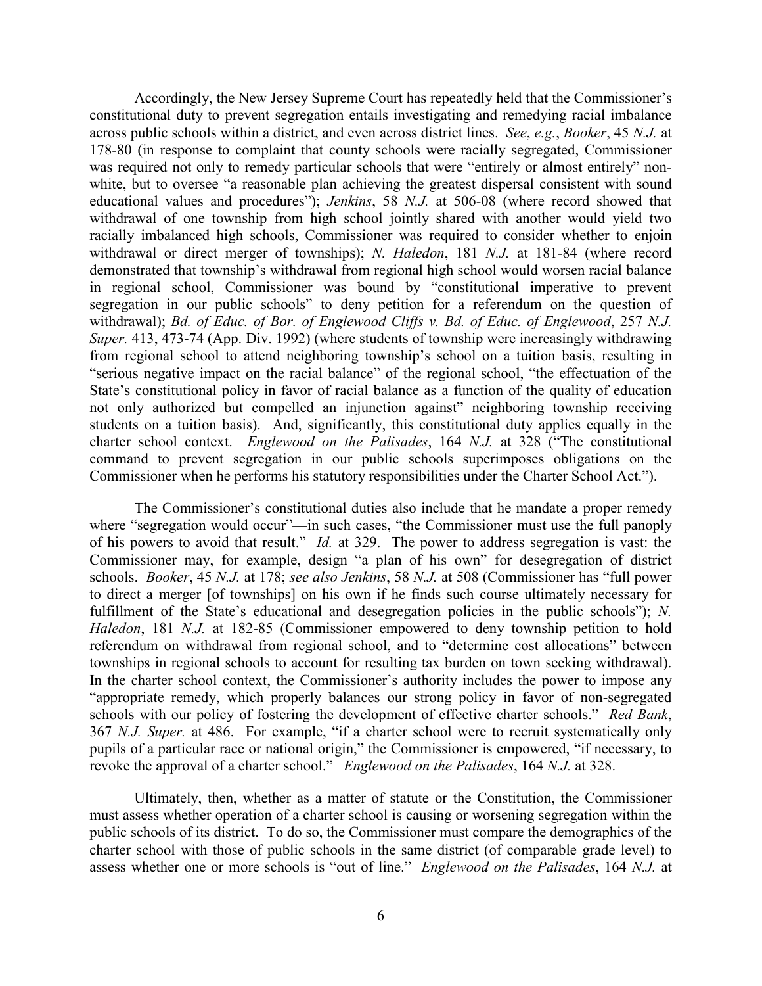Accordingly, the New Jersey Supreme Court has repeatedly held that the Commissioner's constitutional duty to prevent segregation entails investigating and remedying racial imbalance across public schools within a district, and even across district lines. *See*, *e.g.*, *Booker*, 45 *N.J.* at 178-80 (in response to complaint that county schools were racially segregated, Commissioner was required not only to remedy particular schools that were "entirely or almost entirely" nonwhite, but to oversee "a reasonable plan achieving the greatest dispersal consistent with sound educational values and procedures"); *Jenkins*, 58 *N.J.* at 506-08 (where record showed that withdrawal of one township from high school jointly shared with another would yield two racially imbalanced high schools, Commissioner was required to consider whether to enjoin withdrawal or direct merger of townships); *N. Haledon*, 181 *N.J.* at 181-84 (where record demonstrated that township's withdrawal from regional high school would worsen racial balance in regional school, Commissioner was bound by "constitutional imperative to prevent segregation in our public schools" to deny petition for a referendum on the question of withdrawal); *Bd. of Educ. of Bor. of Englewood Cliffs v. Bd. of Educ. of Englewood*, 257 *N.J. Super.* 413, 473-74 (App. Div. 1992) (where students of township were increasingly withdrawing from regional school to attend neighboring township's school on a tuition basis, resulting in "serious negative impact on the racial balance" of the regional school, "the effectuation of the State's constitutional policy in favor of racial balance as a function of the quality of education not only authorized but compelled an injunction against" neighboring township receiving students on a tuition basis). And, significantly, this constitutional duty applies equally in the charter school context. *Englewood on the Palisades*, 164 *N.J.* at 328 ("The constitutional command to prevent segregation in our public schools superimposes obligations on the Commissioner when he performs his statutory responsibilities under the Charter School Act.").

The Commissioner's constitutional duties also include that he mandate a proper remedy where "segregation would occur"—in such cases, "the Commissioner must use the full panoply of his powers to avoid that result." *Id.* at 329. The power to address segregation is vast: the Commissioner may, for example, design "a plan of his own" for desegregation of district schools. *Booker*, 45 *N.J.* at 178; *see also Jenkins*, 58 *N.J.* at 508 (Commissioner has "full power to direct a merger [of townships] on his own if he finds such course ultimately necessary for fulfillment of the State's educational and desegregation policies in the public schools"); *N*. *Haledon*, 181 *N.J.* at 182-85 (Commissioner empowered to deny township petition to hold referendum on withdrawal from regional school, and to "determine cost allocations" between townships in regional schools to account for resulting tax burden on town seeking withdrawal). In the charter school context, the Commissioner's authority includes the power to impose any "appropriate remedy, which properly balances our strong policy in favor of non-segregated schools with our policy of fostering the development of effective charter schools." *Red Bank*, 367 *N.J. Super.* at 486. For example, "if a charter school were to recruit systematically only pupils of a particular race or national origin," the Commissioner is empowered, "if necessary, to revoke the approval of a charter school." *Englewood on the Palisades*, 164 *N.J.* at 328.

Ultimately, then, whether as a matter of statute or the Constitution, the Commissioner must assess whether operation of a charter school is causing or worsening segregation within the public schools of its district. To do so, the Commissioner must compare the demographics of the charter school with those of public schools in the same district (of comparable grade level) to assess whether one or more schools is "out of line." *Englewood on the Palisades*, 164 *N.J.* at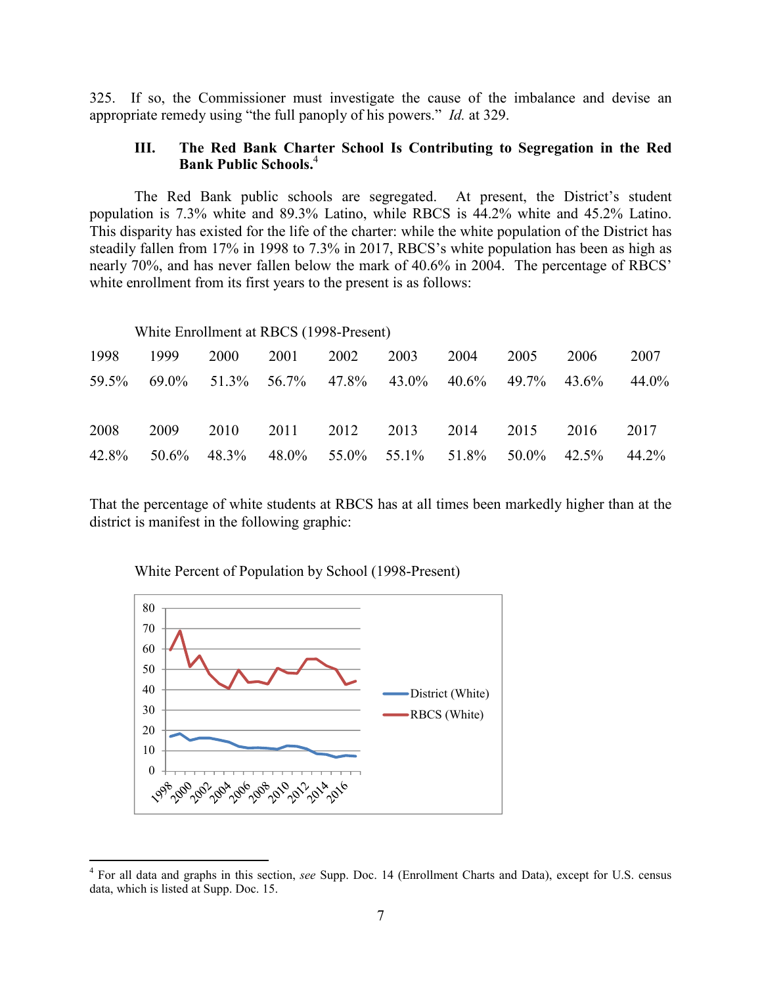325. If so, the Commissioner must investigate the cause of the imbalance and devise an appropriate remedy using "the full panoply of his powers." *Id.* at 329.

# **III. The Red Bank Charter School Is Contributing to Segregation in the Red Bank Public Schools.**<sup>4</sup>

The Red Bank public schools are segregated. At present, the District's student population is 7.3% white and 89.3% Latino, while RBCS is 44.2% white and 45.2% Latino. This disparity has existed for the life of the charter: while the white population of the District has steadily fallen from 17% in 1998 to 7.3% in 2017, RBCS's white population has been as high as nearly 70%, and has never fallen below the mark of 40.6% in 2004. The percentage of RBCS' white enrollment from its first years to the present is as follows:

#### White Enrollment at RBCS (1998-Present)

|  |  | 1998 1999 2000 2001 2002 2003 2004 2005 2006 2007     |  |       |
|--|--|-------------------------------------------------------|--|-------|
|  |  | 59.5% 69.0% 51.3% 56.7% 47.8% 43.0% 40.6% 49.7% 43.6% |  | 44.0% |
|  |  |                                                       |  |       |
|  |  | 2008 2009 2010 2011 2012 2013 2014 2015 2016 2017     |  |       |
|  |  | 42.8% 50.6% 48.3% 48.0% 55.0% 55.1% 51.8% 50.0% 42.5% |  | 44.2% |

That the percentage of white students at RBCS has at all times been markedly higher than at the district is manifest in the following graphic:



White Percent of Population by School (1998-Present)

<sup>4</sup> For all data and graphs in this section, *see* Supp. Doc. 14 (Enrollment Charts and Data), except for U.S. census data, which is listed at Supp. Doc. 15.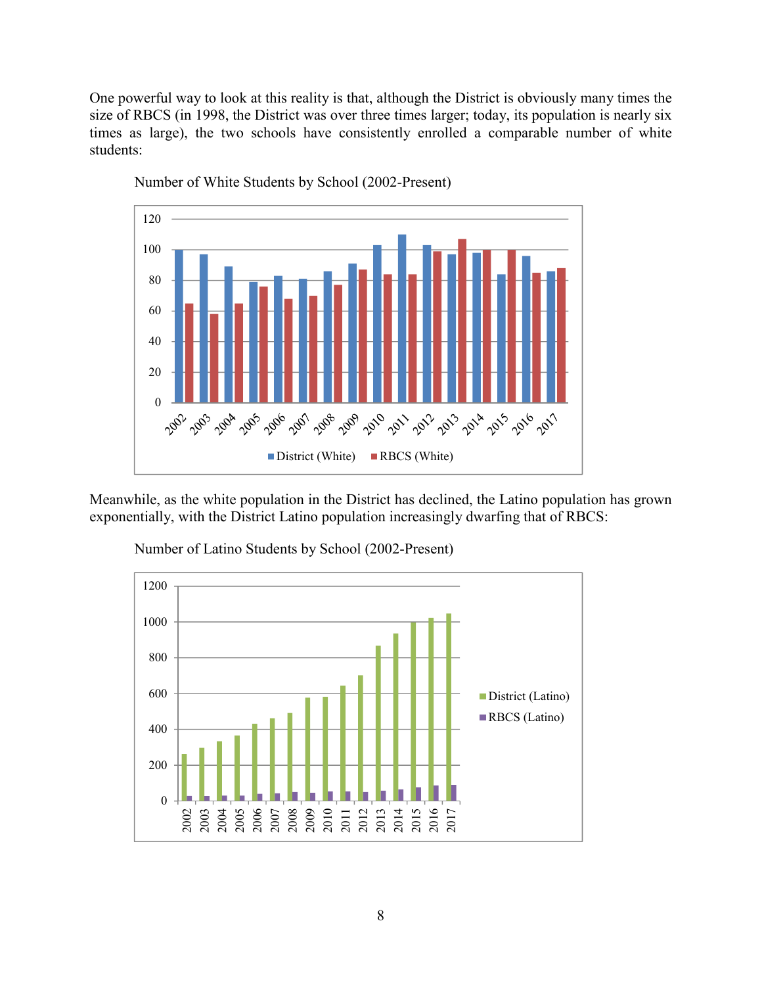One powerful way to look at this reality is that, although the District is obviously many times the size of RBCS (in 1998, the District was over three times larger; today, its population is nearly six times as large), the two schools have consistently enrolled a comparable number of white students:



Number of White Students by School (2002-Present)

Meanwhile, as the white population in the District has declined, the Latino population has grown exponentially, with the District Latino population increasingly dwarfing that of RBCS:



Number of Latino Students by School (2002-Present)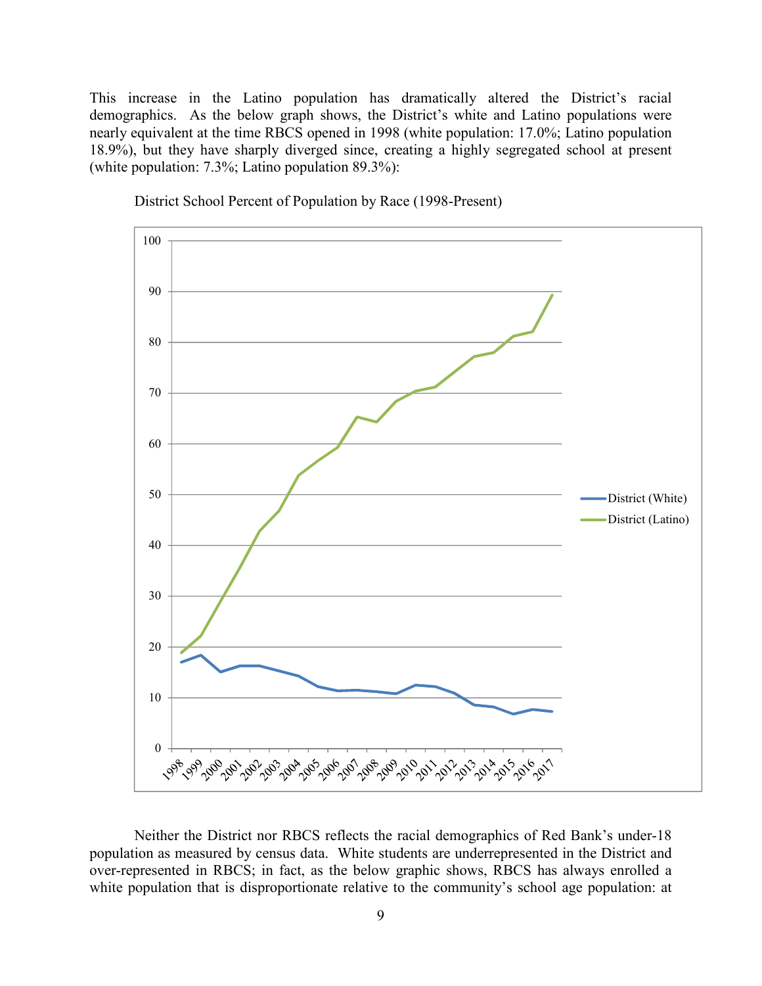This increase in the Latino population has dramatically altered the District's racial demographics. As the below graph shows, the District's white and Latino populations were nearly equivalent at the time RBCS opened in 1998 (white population: 17.0%; Latino population 18.9%), but they have sharply diverged since, creating a highly segregated school at present (white population: 7.3%; Latino population 89.3%):



District School Percent of Population by Race (1998-Present)

Neither the District nor RBCS reflects the racial demographics of Red Bank's under-18 population as measured by census data. White students are underrepresented in the District and over-represented in RBCS; in fact, as the below graphic shows, RBCS has always enrolled a white population that is disproportionate relative to the community's school age population: at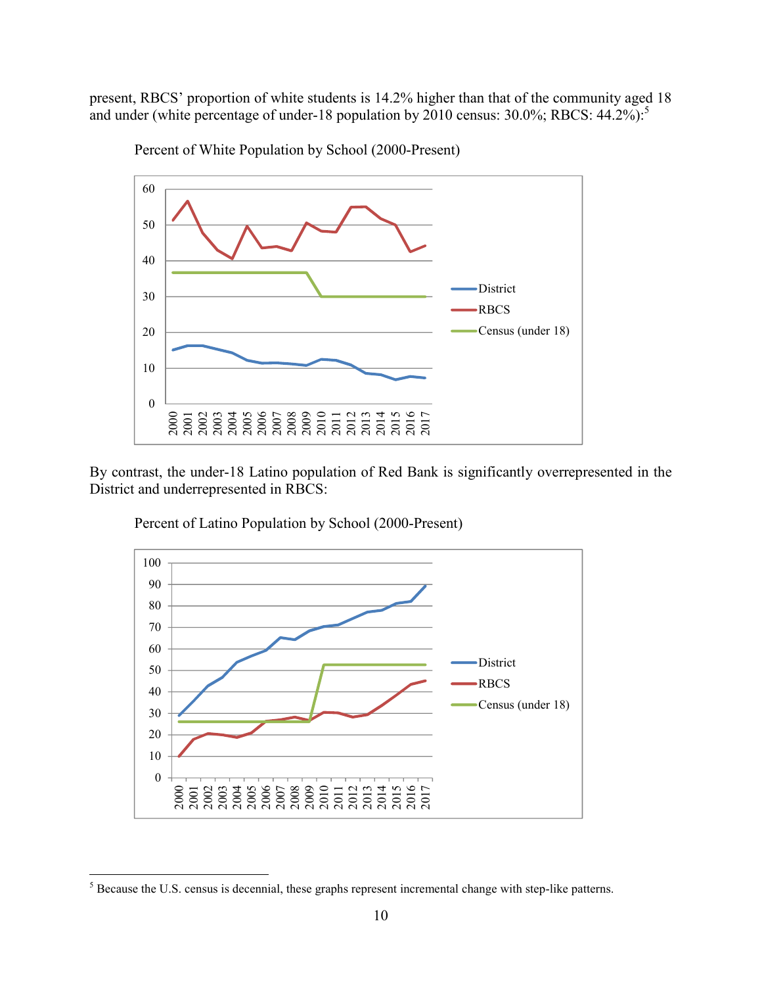present, RBCS' proportion of white students is 14.2% higher than that of the community aged 18 and under (white percentage of under-18 population by census: 30.0%; RBCS: 44.2%):<sup>5</sup>



Percent of White Population by School (2000-Present)

By contrast, the under-18 Latino population of Red Bank is significantly overrepresented in the District and underrepresented in RBCS:



Percent of Latino Population by School (2000-Present)

 $<sup>5</sup>$  Because the U.S. census is decennial, these graphs represent incremental change with step-like patterns.</sup>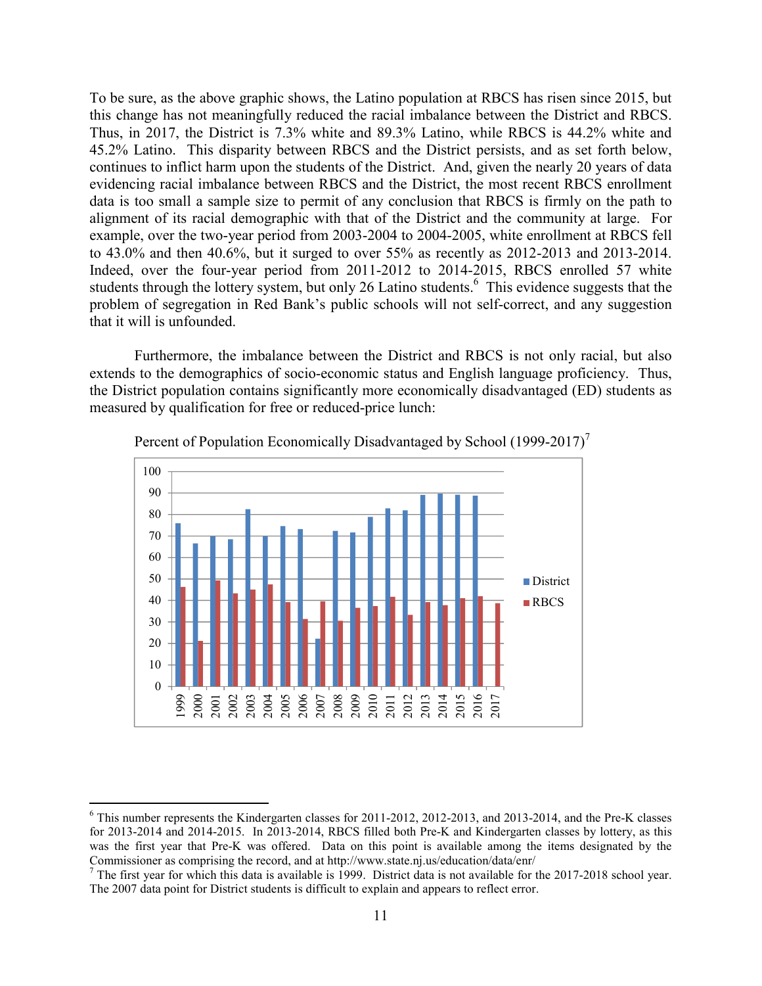To be sure, as the above graphic shows, the Latino population at RBCS has risen since 2015, but this change has not meaningfully reduced the racial imbalance between the District and RBCS. Thus, in 2017, the District is 7.3% white and 89.3% Latino, while RBCS is 44.2% white and 45.2% Latino. This disparity between RBCS and the District persists, and as set forth below, continues to inflict harm upon the students of the District. And, given the nearly 20 years of data evidencing racial imbalance between RBCS and the District, the most recent RBCS enrollment data is too small a sample size to permit of any conclusion that RBCS is firmly on the path to alignment of its racial demographic with that of the District and the community at large. For example, over the two-year period from 2003-2004 to 2004-2005, white enrollment at RBCS fell to 43.0% and then 40.6%, but it surged to over 55% as recently as 2012-2013 and 2013-2014. Indeed, over the four-year period from 2011-2012 to 2014-2015, RBCS enrolled 57 white students through the lottery system, but only 26 Latino students.<sup>6</sup> This evidence suggests that the problem of segregation in Red Bank's public schools will not self-correct, and any suggestion that it will is unfounded.

Furthermore, the imbalance between the District and RBCS is not only racial, but also extends to the demographics of socio-economic status and English language proficiency. Thus, the District population contains significantly more economically disadvantaged (ED) students as measured by qualification for free or reduced-price lunch:



Percent of Population Economically Disadvantaged by School (1999-2017)<sup>7</sup>

<sup>&</sup>lt;sup>6</sup> This number represents the Kindergarten classes for 2011-2012, 2012-2013, and 2013-2014, and the Pre-K classes for 2013-2014 and 2014-2015. In 2013-2014, RBCS filled both Pre-K and Kindergarten classes by lottery, as this was the first year that Pre-K was offered. Data on this point is available among the items designated by the Commissioner as comprising the record, and at http://www.state.nj.us/education/data/enr/<br><sup>7</sup> The first year for which this data is available is 1999. District data is not available for the 2017-2018 school year.

The 2007 data point for District students is difficult to explain and appears to reflect error.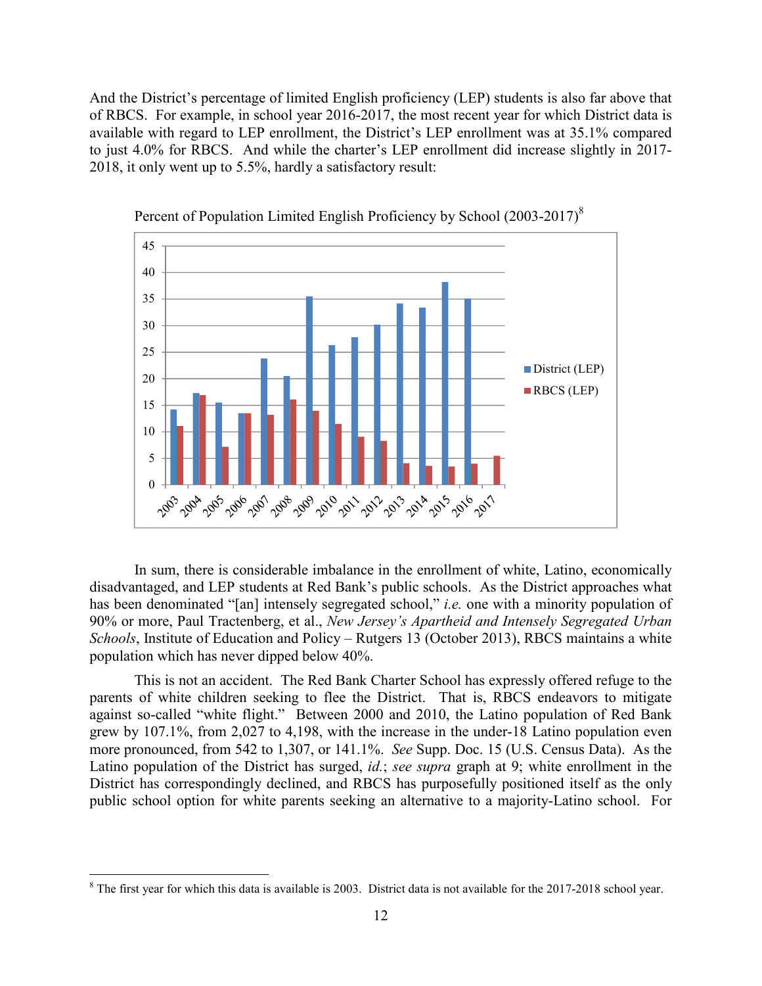And the District's percentage of limited English proficiency (LEP) students is also far above that of RBCS. For example, in school year 2016-2017, the most recent year for which District data is available with regard to LEP enrollment, the District's LEP enrollment was at 35.1% compared to just 4.0% for RBCS. And while the charter's LEP enrollment did increase slightly in 2017- 2018, it only went up to 5.5%, hardly a satisfactory result:





In sum, there is considerable imbalance in the enrollment of white, Latino, economically disadvantaged, and LEP students at Red Bank's public schools. As the District approaches what has been denominated "[an] intensely segregated school," *i.e.* one with a minority population of 90% or more, Paul Tractenberg, et al., *New Jersey's Apartheid and Intensely Segregated Urban Schools*, Institute of Education and Policy – Rutgers 13 (October 2013), RBCS maintains a white population which has never dipped below 40%.

This is not an accident. The Red Bank Charter School has expressly offered refuge to the parents of white children seeking to flee the District. That is, RBCS endeavors to mitigate against so-called "white flight." Between 2000 and 2010, the Latino population of Red Bank grew by 107.1%, from 2,027 to 4,198, with the increase in the under-18 Latino population even more pronounced, from 542 to 1,307, or 141.1%. *See* Supp. Doc. 15 (U.S. Census Data). As the Latino population of the District has surged, *id.*; *see supra* graph at 9; white enrollment in the District has correspondingly declined, and RBCS has purposefully positioned itself as the only public school option for white parents seeking an alternative to a majority-Latino school. For

 $8$  The first year for which this data is available is 2003. District data is not available for the 2017-2018 school year.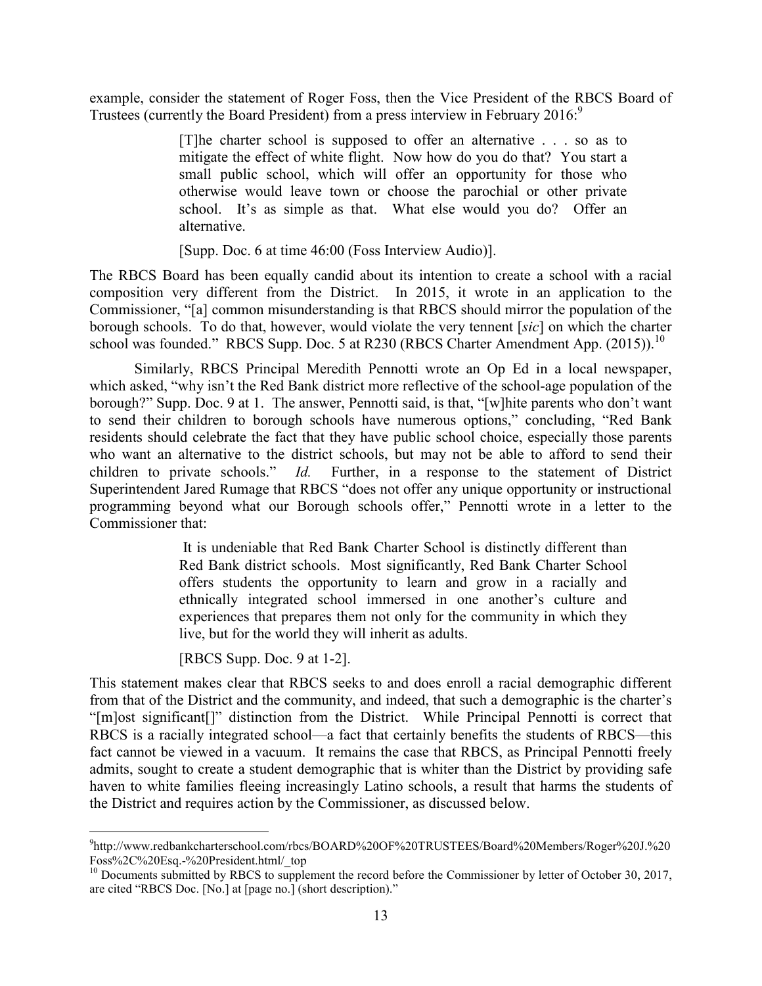example, consider the statement of Roger Foss, then the Vice President of the RBCS Board of Trustees (currently the Board President) from a press interview in February 2016:<sup>9</sup>

> [T]he charter school is supposed to offer an alternative . . . so as to mitigate the effect of white flight. Now how do you do that? You start a small public school, which will offer an opportunity for those who otherwise would leave town or choose the parochial or other private school. It's as simple as that. What else would you do? Offer an alternative.

[Supp. Doc. 6 at time 46:00 (Foss Interview Audio)].

The RBCS Board has been equally candid about its intention to create a school with a racial composition very different from the District. In 2015, it wrote in an application to the Commissioner, "[a] common misunderstanding is that RBCS should mirror the population of the borough schools. To do that, however, would violate the very tennent [*sic*] on which the charter school was founded." RBCS Supp. Doc. 5 at R230 (RBCS Charter Amendment App.  $(2015)$ ).<sup>10</sup>

Similarly, RBCS Principal Meredith Pennotti wrote an Op Ed in a local newspaper, which asked, "why isn't the Red Bank district more reflective of the school-age population of the borough?" Supp. Doc. 9 at 1. The answer, Pennotti said, is that, "[w]hite parents who don't want to send their children to borough schools have numerous options," concluding, "Red Bank residents should celebrate the fact that they have public school choice, especially those parents who want an alternative to the district schools, but may not be able to afford to send their children to private schools." *Id.* Further, in a response to the statement of District Superintendent Jared Rumage that RBCS "does not offer any unique opportunity or instructional programming beyond what our Borough schools offer," Pennotti wrote in a letter to the Commissioner that:

> It is undeniable that Red Bank Charter School is distinctly different than Red Bank district schools. Most significantly, Red Bank Charter School offers students the opportunity to learn and grow in a racially and ethnically integrated school immersed in one another's culture and experiences that prepares them not only for the community in which they live, but for the world they will inherit as adults.

[RBCS Supp. Doc. 9 at 1-2].

This statement makes clear that RBCS seeks to and does enroll a racial demographic different from that of the District and the community, and indeed, that such a demographic is the charter's "[m]ost significant[]" distinction from the District. While Principal Pennotti is correct that RBCS is a racially integrated school—a fact that certainly benefits the students of RBCS—this fact cannot be viewed in a vacuum. It remains the case that RBCS, as Principal Pennotti freely admits, sought to create a student demographic that is whiter than the District by providing safe haven to white families fleeing increasingly Latino schools, a result that harms the students of the District and requires action by the Commissioner, as discussed below.

<sup>9</sup> http://www.redbankcharterschool.com/rbcs/BOARD%20OF%20TRUSTEES/Board%20Members/Roger%20J.%20 Foss%2C%20Esq.-%20President.html/\_top

 $^{10}$  Documents submitted by RBCS to supplement the record before the Commissioner by letter of October 30, 2017, are cited "RBCS Doc. [No.] at [page no.] (short description)."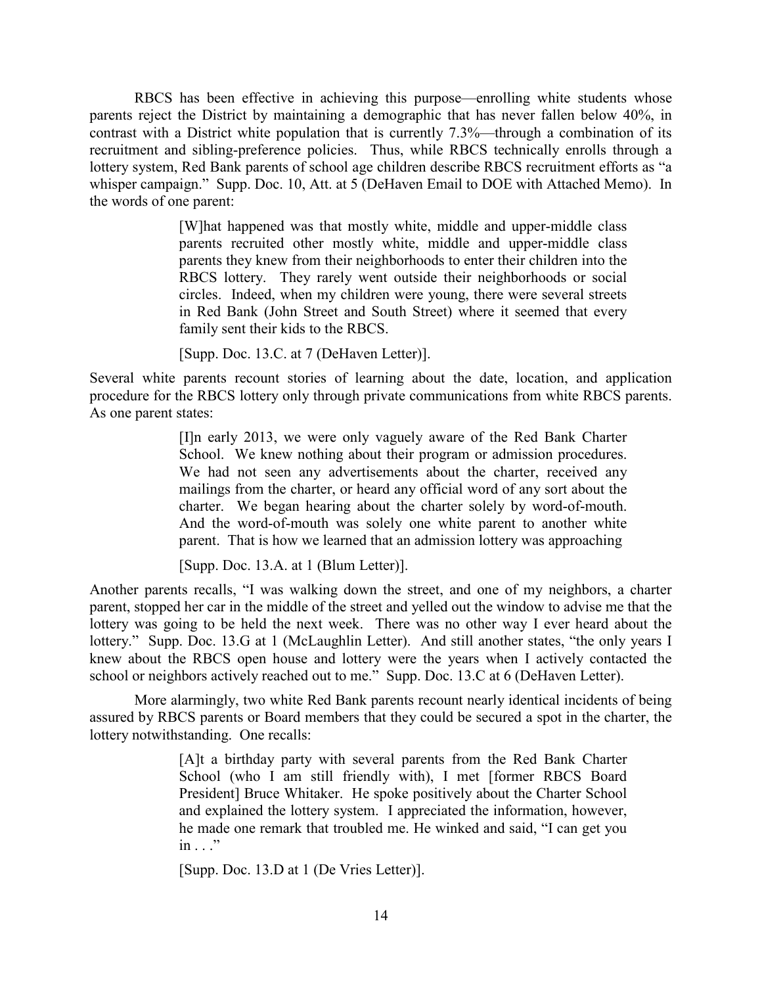RBCS has been effective in achieving this purpose—enrolling white students whose parents reject the District by maintaining a demographic that has never fallen below 40%, in contrast with a District white population that is currently 7.3%—through a combination of its recruitment and sibling-preference policies. Thus, while RBCS technically enrolls through a lottery system, Red Bank parents of school age children describe RBCS recruitment efforts as "a whisper campaign." Supp. Doc. 10, Att. at 5 (DeHaven Email to DOE with Attached Memo). In the words of one parent:

> [W]hat happened was that mostly white, middle and upper-middle class parents recruited other mostly white, middle and upper-middle class parents they knew from their neighborhoods to enter their children into the RBCS lottery. They rarely went outside their neighborhoods or social circles. Indeed, when my children were young, there were several streets in Red Bank (John Street and South Street) where it seemed that every family sent their kids to the RBCS.

[Supp. Doc. 13.C. at 7 (DeHaven Letter)].

Several white parents recount stories of learning about the date, location, and application procedure for the RBCS lottery only through private communications from white RBCS parents. As one parent states:

> [I]n early 2013, we were only vaguely aware of the Red Bank Charter School. We knew nothing about their program or admission procedures. We had not seen any advertisements about the charter, received any mailings from the charter, or heard any official word of any sort about the charter. We began hearing about the charter solely by word-of-mouth. And the word-of-mouth was solely one white parent to another white parent. That is how we learned that an admission lottery was approaching

[Supp. Doc. 13.A. at 1 (Blum Letter)].

Another parents recalls, "I was walking down the street, and one of my neighbors, a charter parent, stopped her car in the middle of the street and yelled out the window to advise me that the lottery was going to be held the next week. There was no other way I ever heard about the lottery." Supp. Doc. 13.G at 1 (McLaughlin Letter). And still another states, "the only years I knew about the RBCS open house and lottery were the years when I actively contacted the school or neighbors actively reached out to me." Supp. Doc. 13.C at 6 (DeHaven Letter).

More alarmingly, two white Red Bank parents recount nearly identical incidents of being assured by RBCS parents or Board members that they could be secured a spot in the charter, the lottery notwithstanding. One recalls:

> [A]t a birthday party with several parents from the Red Bank Charter School (who I am still friendly with), I met [former RBCS Board President] Bruce Whitaker. He spoke positively about the Charter School and explained the lottery system. I appreciated the information, however, he made one remark that troubled me. He winked and said, "I can get you  $in \mathbb{R}^n$

[Supp. Doc. 13.D at 1 (De Vries Letter)].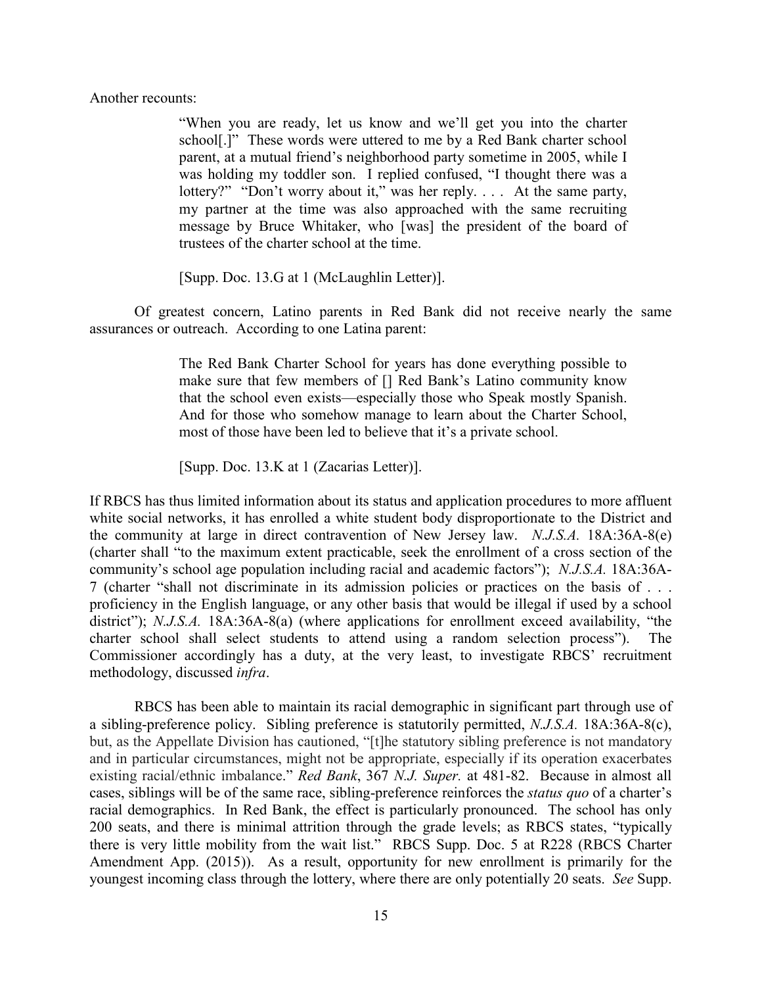Another recounts:

"When you are ready, let us know and we'll get you into the charter school[.]" These words were uttered to me by a Red Bank charter school parent, at a mutual friend's neighborhood party sometime in 2005, while I was holding my toddler son. I replied confused, "I thought there was a lottery?" "Don't worry about it," was her reply. . . . At the same party, my partner at the time was also approached with the same recruiting message by Bruce Whitaker, who [was] the president of the board of trustees of the charter school at the time.

[Supp. Doc. 13.G at 1 (McLaughlin Letter)].

Of greatest concern, Latino parents in Red Bank did not receive nearly the same assurances or outreach. According to one Latina parent:

> The Red Bank Charter School for years has done everything possible to make sure that few members of [] Red Bank's Latino community know that the school even exists—especially those who Speak mostly Spanish. And for those who somehow manage to learn about the Charter School, most of those have been led to believe that it's a private school.

[Supp. Doc. 13.K at 1 (Zacarias Letter)].

If RBCS has thus limited information about its status and application procedures to more affluent white social networks, it has enrolled a white student body disproportionate to the District and the community at large in direct contravention of New Jersey law. *N.J.S.A.* 18A:36A-8(e) (charter shall "to the maximum extent practicable, seek the enrollment of a cross section of the community's school age population including racial and academic factors"); *N.J.S.A.* 18A:36A-7 (charter "shall not discriminate in its admission policies or practices on the basis of . . . proficiency in the English language, or any other basis that would be illegal if used by a school district"); *N.J.S.A.* 18A:36A-8(a) (where applications for enrollment exceed availability, "the charter school shall select students to attend using a random selection process"). The Commissioner accordingly has a duty, at the very least, to investigate RBCS' recruitment methodology, discussed *infra*.

RBCS has been able to maintain its racial demographic in significant part through use of a sibling-preference policy. Sibling preference is statutorily permitted, *N.J.S.A.* 18A:36A-8(c), but, as the Appellate Division has cautioned, "[t]he statutory sibling preference is not mandatory and in particular circumstances, might not be appropriate, especially if its operation exacerbates existing racial/ethnic imbalance." *Red Bank*, 367 *N.J. Super.* at 481-82. Because in almost all cases, siblings will be of the same race, sibling-preference reinforces the *status quo* of a charter's racial demographics. In Red Bank, the effect is particularly pronounced. The school has only 200 seats, and there is minimal attrition through the grade levels; as RBCS states, "typically there is very little mobility from the wait list." RBCS Supp. Doc. 5 at R228 (RBCS Charter Amendment App. (2015)). As a result, opportunity for new enrollment is primarily for the youngest incoming class through the lottery, where there are only potentially 20 seats. *See* Supp.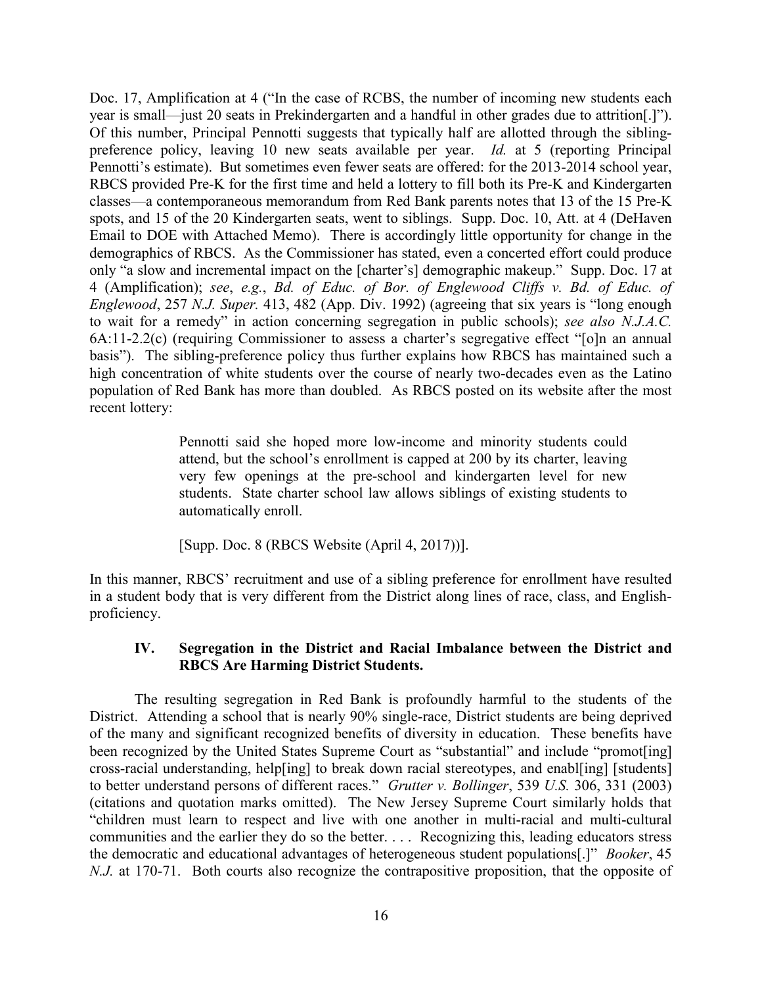Doc. 17, Amplification at 4 ("In the case of RCBS, the number of incoming new students each year is small—just 20 seats in Prekindergarten and a handful in other grades due to attrition[.]"). Of this number, Principal Pennotti suggests that typically half are allotted through the siblingpreference policy, leaving 10 new seats available per year. *Id.* at 5 (reporting Principal Pennotti's estimate). But sometimes even fewer seats are offered: for the 2013-2014 school year, RBCS provided Pre-K for the first time and held a lottery to fill both its Pre-K and Kindergarten classes—a contemporaneous memorandum from Red Bank parents notes that 13 of the 15 Pre-K spots, and 15 of the 20 Kindergarten seats, went to siblings. Supp. Doc. 10, Att. at 4 (DeHaven Email to DOE with Attached Memo). There is accordingly little opportunity for change in the demographics of RBCS. As the Commissioner has stated, even a concerted effort could produce only "a slow and incremental impact on the [charter's] demographic makeup." Supp. Doc. 17 at 4 (Amplification); *see*, *e.g.*, *Bd. of Educ. of Bor. of Englewood Cliffs v. Bd. of Educ. of Englewood*, 257 *N.J. Super.* 413, 482 (App. Div. 1992) (agreeing that six years is "long enough to wait for a remedy" in action concerning segregation in public schools); *see also N.J.A.C.* 6A:11-2.2(c) (requiring Commissioner to assess a charter's segregative effect "[o]n an annual basis"). The sibling-preference policy thus further explains how RBCS has maintained such a high concentration of white students over the course of nearly two-decades even as the Latino population of Red Bank has more than doubled. As RBCS posted on its website after the most recent lottery:

> Pennotti said she hoped more low-income and minority students could attend, but the school's enrollment is capped at 200 by its charter, leaving very few openings at the pre-school and kindergarten level for new students. State charter school law allows siblings of existing students to automatically enroll.

[Supp. Doc. 8 (RBCS Website (April 4, 2017))].

In this manner, RBCS' recruitment and use of a sibling preference for enrollment have resulted in a student body that is very different from the District along lines of race, class, and Englishproficiency.

# **IV. Segregation in the District and Racial Imbalance between the District and RBCS Are Harming District Students.**

The resulting segregation in Red Bank is profoundly harmful to the students of the District. Attending a school that is nearly 90% single-race, District students are being deprived of the many and significant recognized benefits of diversity in education. These benefits have been recognized by the United States Supreme Court as "substantial" and include "promot [ing] cross-racial understanding, help[ing] to break down racial stereotypes, and enabl[ing] [students] to better understand persons of different races." *Grutter v. Bollinger*, 539 *U.S.* 306, 331 (2003) (citations and quotation marks omitted). The New Jersey Supreme Court similarly holds that "children must learn to respect and live with one another in multi-racial and multi-cultural communities and the earlier they do so the better. . . . Recognizing this, leading educators stress the democratic and educational advantages of heterogeneous student populations[.]" *Booker*, 45 *N.J.* at 170-71. Both courts also recognize the contrapositive proposition, that the opposite of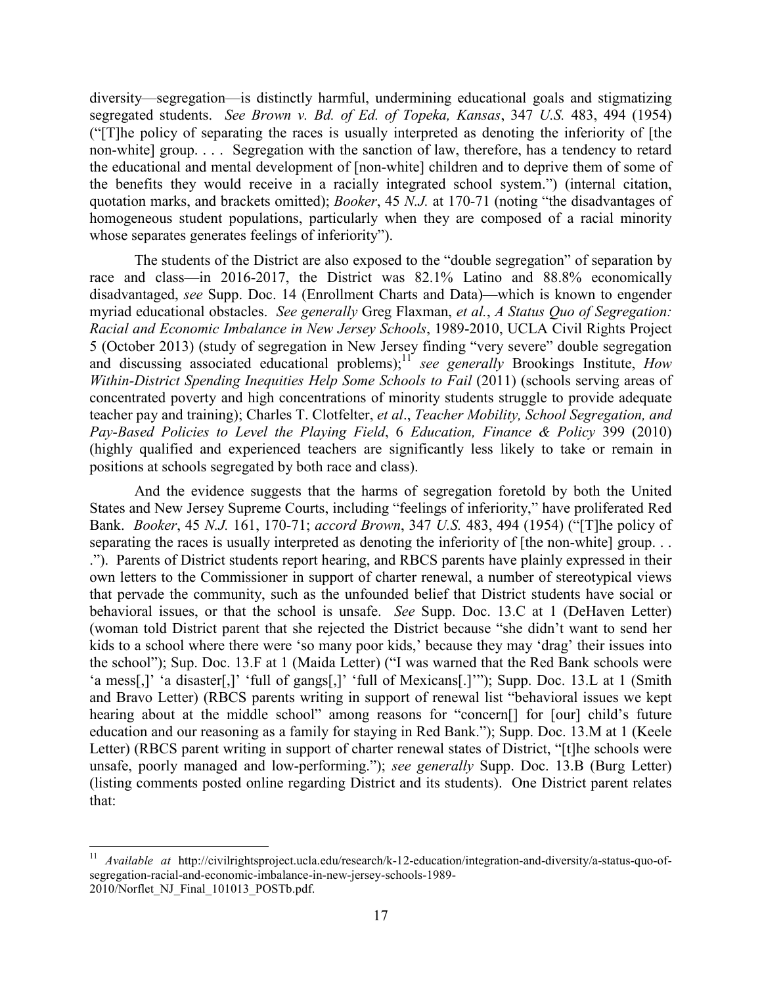diversity—segregation—is distinctly harmful, undermining educational goals and stigmatizing segregated students. *See Brown v. Bd. of Ed. of Topeka, Kansas*, 347 *U.S.* 483, 494 (1954) ("[T]he policy of separating the races is usually interpreted as denoting the inferiority of [the non-white] group. . . . Segregation with the sanction of law, therefore, has a tendency to retard the educational and mental development of [non-white] children and to deprive them of some of the benefits they would receive in a racially integrated school system.") (internal citation, quotation marks, and brackets omitted); *Booker*, 45 *N.J.* at 170-71 (noting "the disadvantages of homogeneous student populations, particularly when they are composed of a racial minority whose separates generates feelings of inferiority").

The students of the District are also exposed to the "double segregation" of separation by race and class—in 2016-2017, the District was 82.1% Latino and 88.8% economically disadvantaged, *see* Supp. Doc. 14 (Enrollment Charts and Data)—which is known to engender myriad educational obstacles. *See generally* Greg Flaxman, *et al.*, *A Status Quo of Segregation: Racial and Economic Imbalance in New Jersey Schools*, 1989-2010, UCLA Civil Rights Project 5 (October 2013) (study of segregation in New Jersey finding "very severe" double segregation and discussing associated educational problems);<sup>11</sup> see generally Brookings Institute, *How Within-District Spending Inequities Help Some Schools to Fail* (2011) (schools serving areas of concentrated poverty and high concentrations of minority students struggle to provide adequate teacher pay and training); Charles T. Clotfelter, *et al*., *Teacher Mobility, School Segregation, and Pay-Based Policies to Level the Playing Field*, 6 *Education, Finance & Policy* 399 (2010) (highly qualified and experienced teachers are significantly less likely to take or remain in positions at schools segregated by both race and class).

And the evidence suggests that the harms of segregation foretold by both the United States and New Jersey Supreme Courts, including "feelings of inferiority," have proliferated Red Bank. *Booker*, 45 *N.J.* 161, 170-71; *accord Brown*, 347 *U.S.* 483, 494 (1954) ("[T]he policy of separating the races is usually interpreted as denoting the inferiority of [the non-white] group... ."). Parents of District students report hearing, and RBCS parents have plainly expressed in their own letters to the Commissioner in support of charter renewal, a number of stereotypical views that pervade the community, such as the unfounded belief that District students have social or behavioral issues, or that the school is unsafe. *See* Supp. Doc. 13.C at 1 (DeHaven Letter) (woman told District parent that she rejected the District because "she didn't want to send her kids to a school where there were 'so many poor kids,' because they may 'drag' their issues into the school"); Sup. Doc. 13.F at 1 (Maida Letter) ("I was warned that the Red Bank schools were 'a mess[,]' 'a disaster[,]' 'full of gangs[,]' 'full of Mexicans[.]'"); Supp. Doc. 13.L at 1 (Smith and Bravo Letter) (RBCS parents writing in support of renewal list "behavioral issues we kept hearing about at the middle school" among reasons for "concern<sup>[]</sup> for [our] child's future education and our reasoning as a family for staying in Red Bank."); Supp. Doc. 13.M at 1 (Keele Letter) (RBCS parent writing in support of charter renewal states of District, "[t]he schools were unsafe, poorly managed and low-performing."); *see generally* Supp. Doc. 13.B (Burg Letter) (listing comments posted online regarding District and its students). One District parent relates that:

<sup>11</sup> *Available at* http://civilrightsproject.ucla.edu/research/k-12-education/integration-and-diversity/a-status-quo-ofsegregation-racial-and-economic-imbalance-in-new-jersey-schools-1989- 2010/Norflet\_NJ\_Final\_101013\_POSTb.pdf.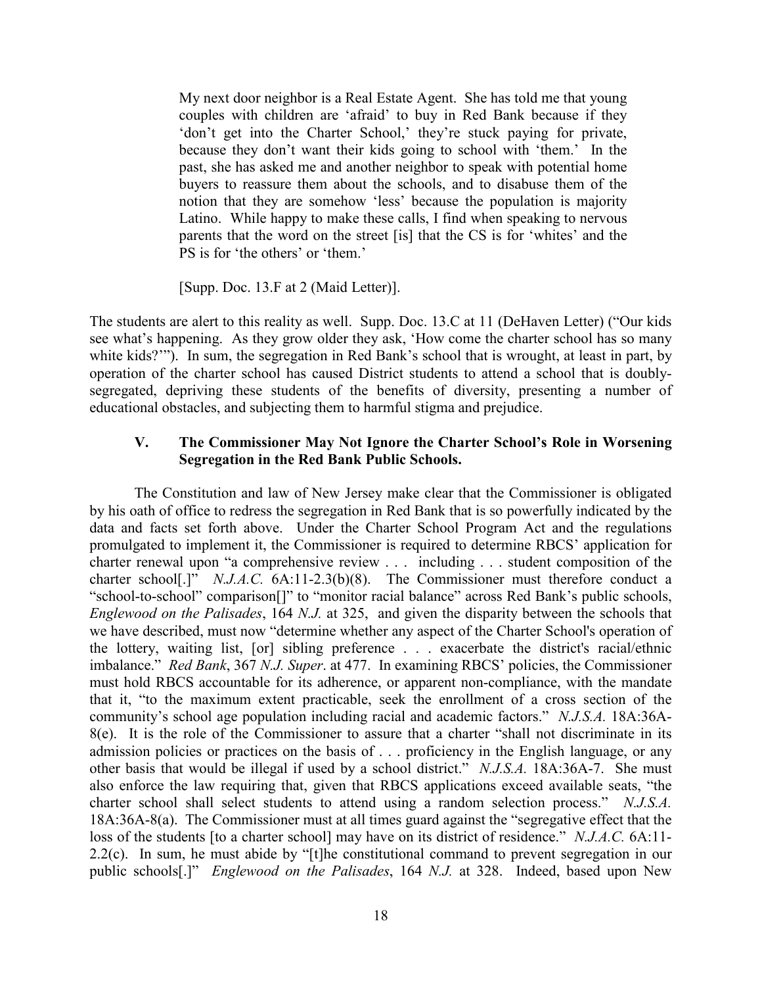My next door neighbor is a Real Estate Agent. She has told me that young couples with children are 'afraid' to buy in Red Bank because if they 'don't get into the Charter School,' they're stuck paying for private, because they don't want their kids going to school with 'them.' In the past, she has asked me and another neighbor to speak with potential home buyers to reassure them about the schools, and to disabuse them of the notion that they are somehow 'less' because the population is majority Latino. While happy to make these calls, I find when speaking to nervous parents that the word on the street [is] that the CS is for 'whites' and the PS is for 'the others' or 'them.'

[Supp. Doc. 13.F at 2 (Maid Letter)].

The students are alert to this reality as well. Supp. Doc. 13.C at 11 (DeHaven Letter) ("Our kids see what's happening. As they grow older they ask, 'How come the charter school has so many white kids?'"). In sum, the segregation in Red Bank's school that is wrought, at least in part, by operation of the charter school has caused District students to attend a school that is doublysegregated, depriving these students of the benefits of diversity, presenting a number of educational obstacles, and subjecting them to harmful stigma and prejudice.

# **V. The Commissioner May Not Ignore the Charter School's Role in Worsening Segregation in the Red Bank Public Schools.**

The Constitution and law of New Jersey make clear that the Commissioner is obligated by his oath of office to redress the segregation in Red Bank that is so powerfully indicated by the data and facts set forth above. Under the Charter School Program Act and the regulations promulgated to implement it, the Commissioner is required to determine RBCS' application for charter renewal upon "a comprehensive review . . . including . . . student composition of the charter school<sup>[.]"</sup> *N.J.A.C.* 6A:11-2.3(b)(8). The Commissioner must therefore conduct a "school-to-school" comparison[]" to "monitor racial balance" across Red Bank's public schools, *Englewood on the Palisades*, 164 *N.J.* at 325, and given the disparity between the schools that we have described, must now "determine whether any aspect of the Charter School's operation of the lottery, waiting list, [or] sibling preference . . . exacerbate the district's racial/ethnic imbalance." *Red Bank*, 367 *N.J. Super*. at 477. In examining RBCS' policies, the Commissioner must hold RBCS accountable for its adherence, or apparent non-compliance, with the mandate that it, "to the maximum extent practicable, seek the enrollment of a cross section of the community's school age population including racial and academic factors." *N.J.S.A.* 18A:36A-8(e). It is the role of the Commissioner to assure that a charter "shall not discriminate in its admission policies or practices on the basis of . . . proficiency in the English language, or any other basis that would be illegal if used by a school district." *N.J.S.A.* 18A:36A-7. She must also enforce the law requiring that, given that RBCS applications exceed available seats, "the charter school shall select students to attend using a random selection process." *N.J.S.A.*  18A:36A-8(a). The Commissioner must at all times guard against the "segregative effect that the loss of the students [to a charter school] may have on its district of residence." *N.J.A.C.* 6A:11- 2.2(c). In sum, he must abide by "[t]he constitutional command to prevent segregation in our public schools[.]" *Englewood on the Palisades*, 164 *N.J.* at 328. Indeed, based upon New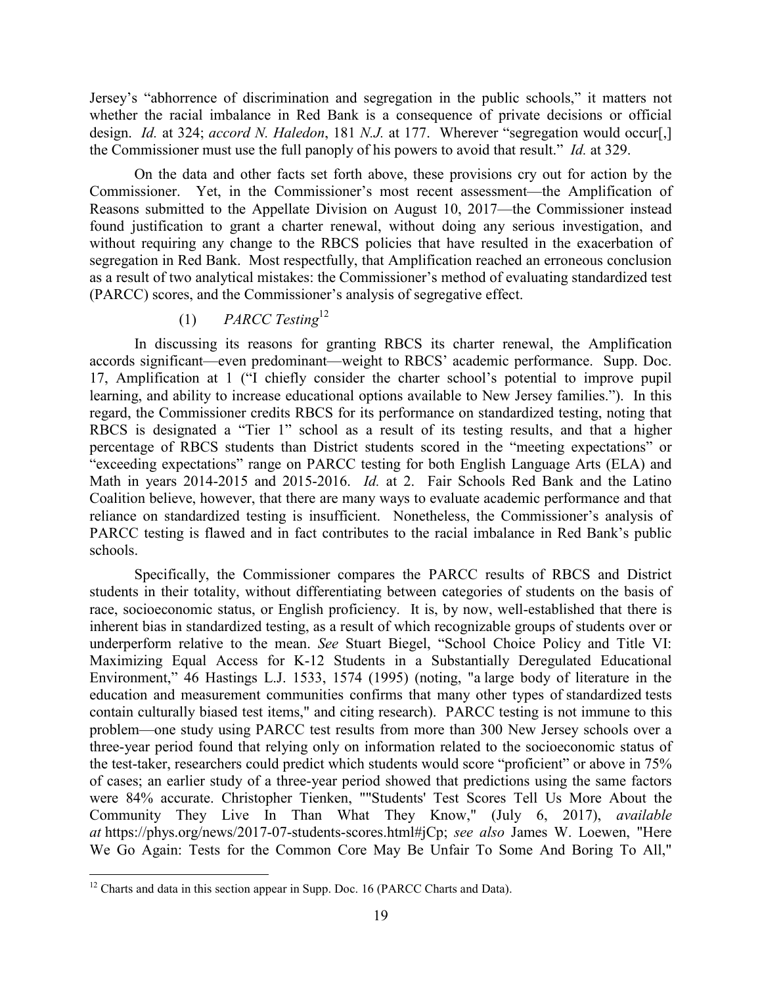Jersey's "abhorrence of discrimination and segregation in the public schools," it matters not whether the racial imbalance in Red Bank is a consequence of private decisions or official design. *Id.* at 324; *accord N. Haledon*, 181 *N.J.* at 177. Wherever "segregation would occur[,] the Commissioner must use the full panoply of his powers to avoid that result." *Id.* at 329.

On the data and other facts set forth above, these provisions cry out for action by the Commissioner. Yet, in the Commissioner's most recent assessment—the Amplification of Reasons submitted to the Appellate Division on August 10, 2017—the Commissioner instead found justification to grant a charter renewal, without doing any serious investigation, and without requiring any change to the RBCS policies that have resulted in the exacerbation of segregation in Red Bank. Most respectfully, that Amplification reached an erroneous conclusion as a result of two analytical mistakes: the Commissioner's method of evaluating standardized test (PARCC) scores, and the Commissioner's analysis of segregative effect.

# (1) *PARCC Testing*<sup>12</sup>

In discussing its reasons for granting RBCS its charter renewal, the Amplification accords significant—even predominant—weight to RBCS' academic performance. Supp. Doc. 17, Amplification at 1 ("I chiefly consider the charter school's potential to improve pupil learning, and ability to increase educational options available to New Jersey families."). In this regard, the Commissioner credits RBCS for its performance on standardized testing, noting that RBCS is designated a "Tier 1" school as a result of its testing results, and that a higher percentage of RBCS students than District students scored in the "meeting expectations" or "exceeding expectations" range on PARCC testing for both English Language Arts (ELA) and Math in years 2014-2015 and 2015-2016. *Id.* at 2. Fair Schools Red Bank and the Latino Coalition believe, however, that there are many ways to evaluate academic performance and that reliance on standardized testing is insufficient. Nonetheless, the Commissioner's analysis of PARCC testing is flawed and in fact contributes to the racial imbalance in Red Bank's public schools.

Specifically, the Commissioner compares the PARCC results of RBCS and District students in their totality, without differentiating between categories of students on the basis of race, socioeconomic status, or English proficiency. It is, by now, well-established that there is inherent bias in standardized testing, as a result of which recognizable groups of students over or underperform relative to the mean. *See* Stuart Biegel, "School Choice Policy and Title VI: Maximizing Equal Access for K-12 Students in a Substantially Deregulated Educational Environment," 46 Hastings L.J. 1533, 1574 (1995) (noting, "a large body of literature in the education and measurement communities confirms that many other types of standardized tests contain culturally biased test items," and citing research). PARCC testing is not immune to this problem—one study using PARCC test results from more than 300 New Jersey schools over a three-year period found that relying only on information related to the socioeconomic status of the test-taker, researchers could predict which students would score "proficient" or above in 75% of cases; an earlier study of a three-year period showed that predictions using the same factors were 84% accurate. Christopher Tienken, ""Students' Test Scores Tell Us More About the Community They Live In Than What They Know," (July 6, 2017), *available at* https://phys.org/news/2017-07-students-scores.html#jCp; *see also* James W. Loewen, "Here We Go Again: Tests for the Common Core May Be Unfair To Some And Boring To All,"

 $12$  Charts and data in this section appear in Supp. Doc. 16 (PARCC Charts and Data).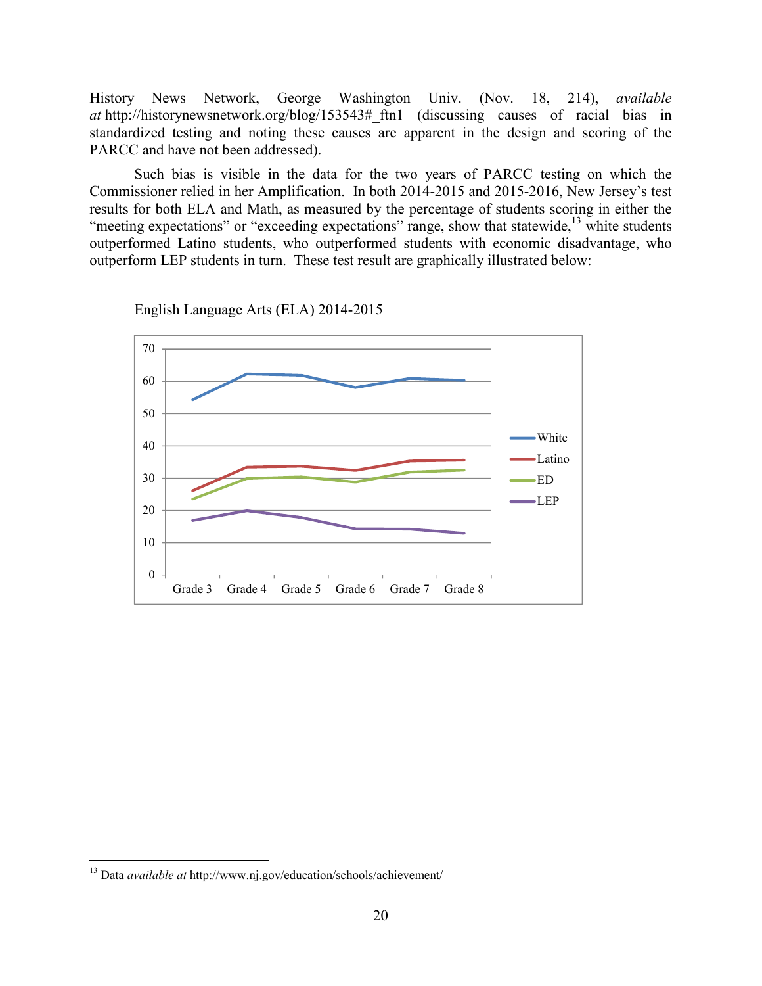History News Network, George Washington Univ. (Nov. 18, 214), *available at* http://historynewsnetwork.org/blog/153543#\_ftn1 (discussing causes of racial bias in standardized testing and noting these causes are apparent in the design and scoring of the PARCC and have not been addressed).

Such bias is visible in the data for the two years of PARCC testing on which the Commissioner relied in her Amplification. In both 2014-2015 and 2015-2016, New Jersey's test results for both ELA and Math, as measured by the percentage of students scoring in either the "meeting expectations" or "exceeding expectations" range, show that statewide,  $13$  white students outperformed Latino students, who outperformed students with economic disadvantage, who outperform LEP students in turn. These test result are graphically illustrated below:

0 10 20 30 40 50 60 70 Grade 3 Grade 4 Grade 5 Grade 6 Grade 7 Grade 8 White Latino ED  $-LEP$ 

English Language Arts (ELA) 2014-2015

<sup>13</sup> Data *available at* http://www.nj.gov/education/schools/achievement/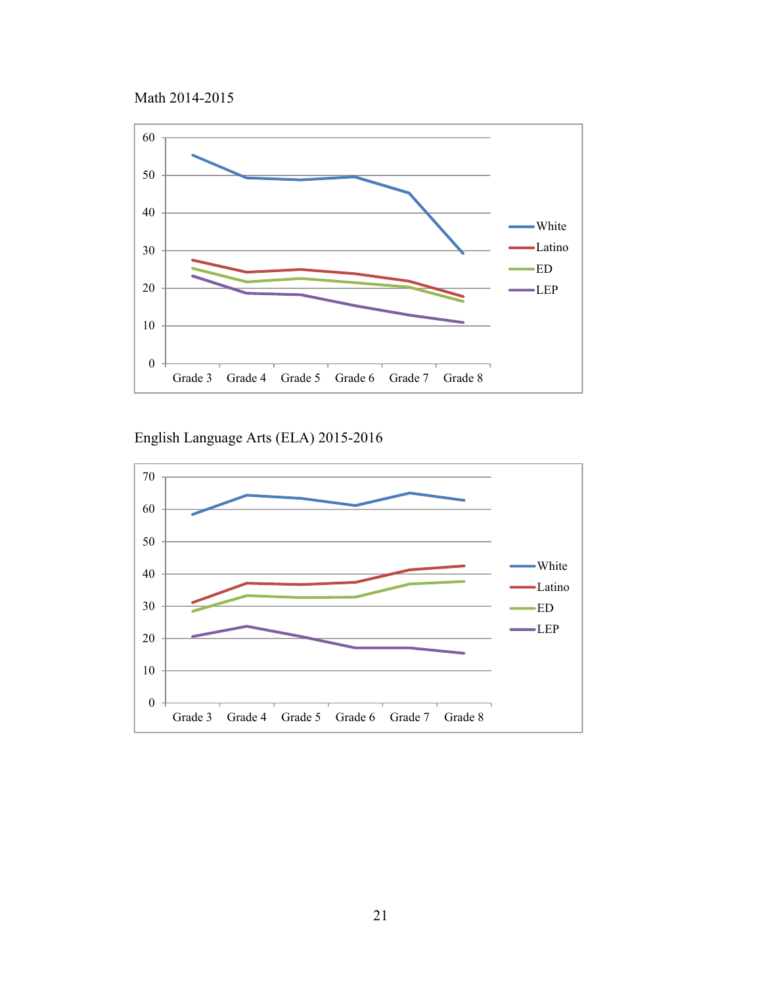



English Language Arts (ELA) 2015-2016

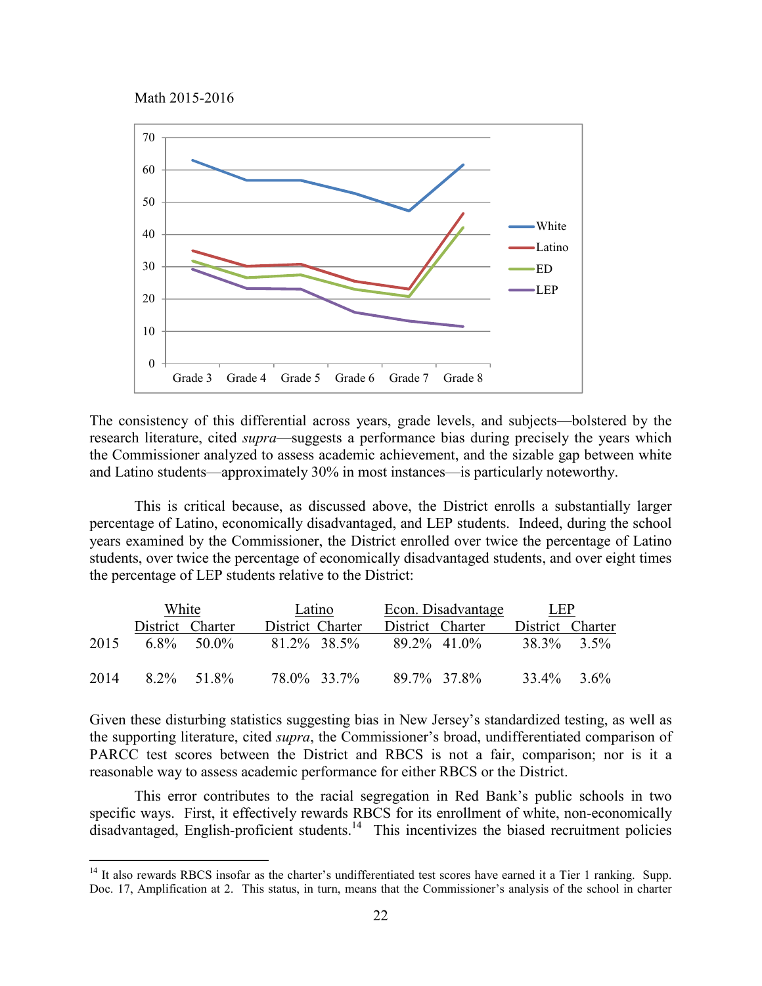Math 2015-2016



The consistency of this differential across years, grade levels, and subjects—bolstered by the research literature, cited *supra*—suggests a performance bias during precisely the years which the Commissioner analyzed to assess academic achievement, and the sizable gap between white and Latino students—approximately 30% in most instances—is particularly noteworthy.

This is critical because, as discussed above, the District enrolls a substantially larger percentage of Latino, economically disadvantaged, and LEP students. Indeed, during the school years examined by the Commissioner, the District enrolled over twice the percentage of Latino students, over twice the percentage of economically disadvantaged students, and over eight times the percentage of LEP students relative to the District:

|      | White            |               | Latino           |                  | Econ. Disadvantage |              | <b>LEP</b>       |  |
|------|------------------|---------------|------------------|------------------|--------------------|--------------|------------------|--|
|      | District Charter |               | District Charter | District Charter |                    |              | District Charter |  |
| 2015 |                  | $6.8\%$ 50.0% | 81.2\% 38.5\%    |                  | 89 2\% 41 0\%      | $383\%$ 3.5% |                  |  |
| 2014 | 8.2% 51.8%       |               | 78.0% 33.7%      |                  | 89.7% 37.8%        | 33.4% 3.6%   |                  |  |

Given these disturbing statistics suggesting bias in New Jersey's standardized testing, as well as the supporting literature, cited *supra*, the Commissioner's broad, undifferentiated comparison of PARCC test scores between the District and RBCS is not a fair, comparison; nor is it a reasonable way to assess academic performance for either RBCS or the District.

This error contributes to the racial segregation in Red Bank's public schools in two specific ways. First, it effectively rewards RBCS for its enrollment of white, non-economically  $\frac{1}{4}$  disadvantaged, English-proficient students.<sup>14</sup> This incentivizes the biased recruitment policies

<sup>&</sup>lt;sup>14</sup> It also rewards RBCS insofar as the charter's undifferentiated test scores have earned it a Tier 1 ranking. Supp. Doc. 17, Amplification at 2. This status, in turn, means that the Commissioner's analysis of the school in charter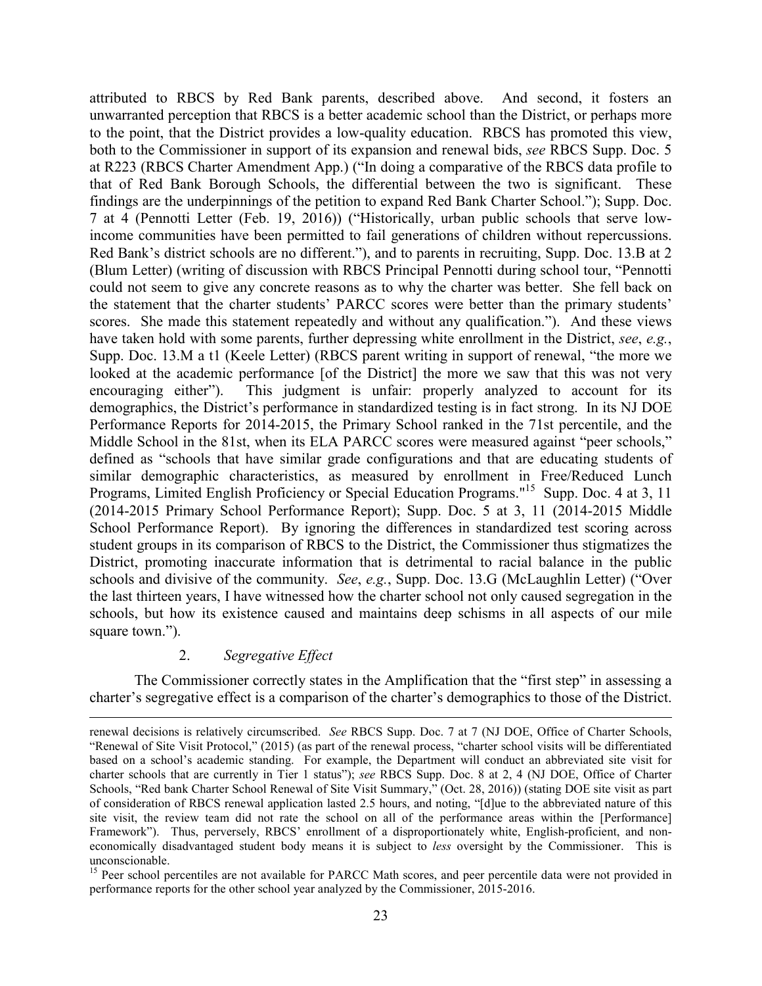attributed to RBCS by Red Bank parents, described above. And second, it fosters an unwarranted perception that RBCS is a better academic school than the District, or perhaps more to the point, that the District provides a low-quality education. RBCS has promoted this view, both to the Commissioner in support of its expansion and renewal bids, *see* RBCS Supp. Doc. 5 at R223 (RBCS Charter Amendment App.) ("In doing a comparative of the RBCS data profile to that of Red Bank Borough Schools, the differential between the two is significant. These findings are the underpinnings of the petition to expand Red Bank Charter School."); Supp. Doc. 7 at 4 (Pennotti Letter (Feb. 19, 2016)) ("Historically, urban public schools that serve lowincome communities have been permitted to fail generations of children without repercussions. Red Bank's district schools are no different."), and to parents in recruiting, Supp. Doc. 13.B at 2 (Blum Letter) (writing of discussion with RBCS Principal Pennotti during school tour, "Pennotti could not seem to give any concrete reasons as to why the charter was better. She fell back on the statement that the charter students' PARCC scores were better than the primary students' scores. She made this statement repeatedly and without any qualification."). And these views have taken hold with some parents, further depressing white enrollment in the District, *see*, *e.g.*, Supp. Doc. 13.M a t1 (Keele Letter) (RBCS parent writing in support of renewal, "the more we looked at the academic performance [of the District] the more we saw that this was not very encouraging either"). This judgment is unfair: properly analyzed to account for its demographics, the District's performance in standardized testing is in fact strong. In its NJ DOE Performance Reports for 2014-2015, the Primary School ranked in the 71st percentile, and the Middle School in the 81st, when its ELA PARCC scores were measured against "peer schools," defined as "schools that have similar grade configurations and that are educating students of similar demographic characteristics, as measured by enrollment in Free/Reduced Lunch Programs, Limited English Proficiency or Special Education Programs."<sup>15</sup> Supp. Doc. 4 at 3, 11 (2014-2015 Primary School Performance Report); Supp. Doc. 5 at 3, 11 (2014-2015 Middle School Performance Report). By ignoring the differences in standardized test scoring across student groups in its comparison of RBCS to the District, the Commissioner thus stigmatizes the District, promoting inaccurate information that is detrimental to racial balance in the public schools and divisive of the community. *See*, *e.g.*, Supp. Doc. 13.G (McLaughlin Letter) ("Over the last thirteen years, I have witnessed how the charter school not only caused segregation in the schools, but how its existence caused and maintains deep schisms in all aspects of our mile square town.").

# 2. *Segregative Effect*

The Commissioner correctly states in the Amplification that the "first step" in assessing a charter's segregative effect is a comparison of the charter's demographics to those of the District.

renewal decisions is relatively circumscribed. *See* RBCS Supp. Doc. 7 at 7 (NJ DOE, Office of Charter Schools, "Renewal of Site Visit Protocol," (2015) (as part of the renewal process, "charter school visits will be differentiated based on a school's academic standing. For example, the Department will conduct an abbreviated site visit for charter schools that are currently in Tier 1 status"); *see* RBCS Supp. Doc. 8 at 2, 4 (NJ DOE, Office of Charter Schools, "Red bank Charter School Renewal of Site Visit Summary," (Oct. 28, 2016)) (stating DOE site visit as part of consideration of RBCS renewal application lasted 2.5 hours, and noting, "[d]ue to the abbreviated nature of this site visit, the review team did not rate the school on all of the performance areas within the [Performance] Framework"). Thus, perversely, RBCS' enrollment of a disproportionately white, English-proficient, and noneconomically disadvantaged student body means it is subject to *less* oversight by the Commissioner. This is unconscionable.

<sup>&</sup>lt;sup>15</sup> Peer school percentiles are not available for PARCC Math scores, and peer percentile data were not provided in performance reports for the other school year analyzed by the Commissioner, 2015-2016.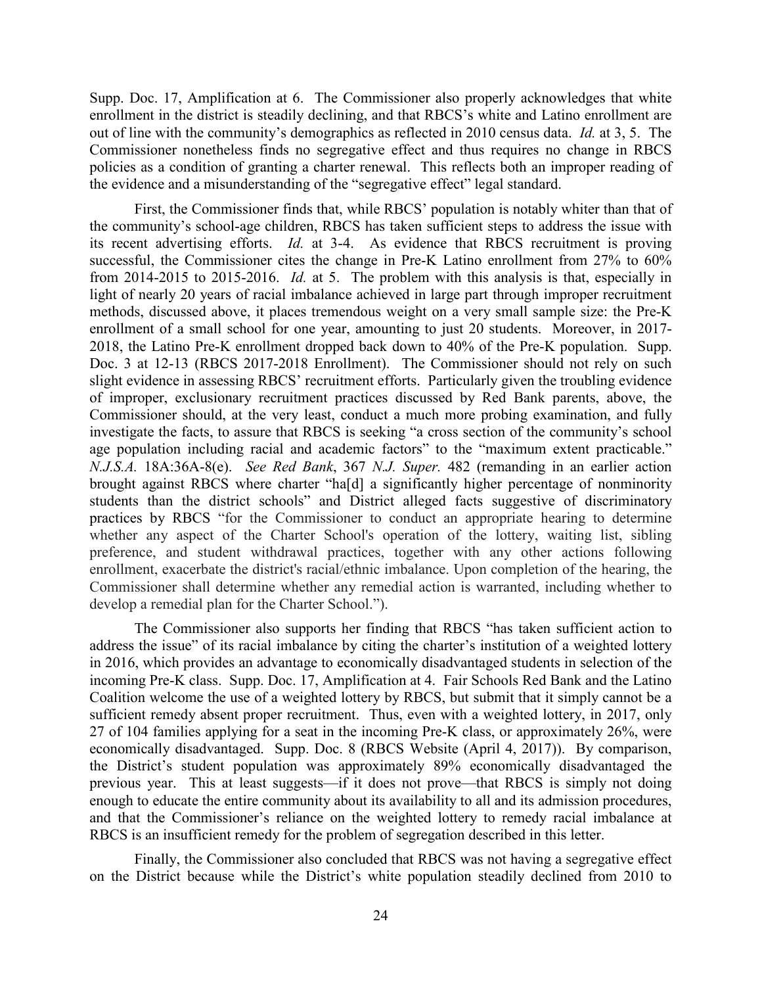Supp. Doc. 17, Amplification at 6. The Commissioner also properly acknowledges that white enrollment in the district is steadily declining, and that RBCS's white and Latino enrollment are out of line with the community's demographics as reflected in 2010 census data. *Id.* at 3, 5. The Commissioner nonetheless finds no segregative effect and thus requires no change in RBCS policies as a condition of granting a charter renewal. This reflects both an improper reading of the evidence and a misunderstanding of the "segregative effect" legal standard.

First, the Commissioner finds that, while RBCS' population is notably whiter than that of the community's school-age children, RBCS has taken sufficient steps to address the issue with its recent advertising efforts. *Id.* at 3-4. As evidence that RBCS recruitment is proving successful, the Commissioner cites the change in Pre-K Latino enrollment from 27% to 60% from 2014-2015 to 2015-2016. *Id.* at 5. The problem with this analysis is that, especially in light of nearly 20 years of racial imbalance achieved in large part through improper recruitment methods, discussed above, it places tremendous weight on a very small sample size: the Pre-K enrollment of a small school for one year, amounting to just 20 students. Moreover, in 2017- 2018, the Latino Pre-K enrollment dropped back down to 40% of the Pre-K population. Supp. Doc. 3 at 12-13 (RBCS 2017-2018 Enrollment). The Commissioner should not rely on such slight evidence in assessing RBCS' recruitment efforts. Particularly given the troubling evidence of improper, exclusionary recruitment practices discussed by Red Bank parents, above, the Commissioner should, at the very least, conduct a much more probing examination, and fully investigate the facts, to assure that RBCS is seeking "a cross section of the community's school age population including racial and academic factors" to the "maximum extent practicable." *N.J.S.A.* 18A:36A-8(e). *See Red Bank*, 367 *N.J. Super.* 482 (remanding in an earlier action brought against RBCS where charter "ha[d] a significantly higher percentage of nonminority students than the district schools" and District alleged facts suggestive of discriminatory practices by RBCS "for the Commissioner to conduct an appropriate hearing to determine whether any aspect of the Charter School's operation of the lottery, waiting list, sibling preference, and student withdrawal practices, together with any other actions following enrollment, exacerbate the district's racial/ethnic imbalance. Upon completion of the hearing, the Commissioner shall determine whether any remedial action is warranted, including whether to develop a remedial plan for the Charter School.").

The Commissioner also supports her finding that RBCS "has taken sufficient action to address the issue" of its racial imbalance by citing the charter's institution of a weighted lottery in 2016, which provides an advantage to economically disadvantaged students in selection of the incoming Pre-K class. Supp. Doc. 17, Amplification at 4. Fair Schools Red Bank and the Latino Coalition welcome the use of a weighted lottery by RBCS, but submit that it simply cannot be a sufficient remedy absent proper recruitment. Thus, even with a weighted lottery, in 2017, only 27 of 104 families applying for a seat in the incoming Pre-K class, or approximately 26%, were economically disadvantaged. Supp. Doc. 8 (RBCS Website (April 4, 2017)). By comparison, the District's student population was approximately 89% economically disadvantaged the previous year. This at least suggests—if it does not prove—that RBCS is simply not doing enough to educate the entire community about its availability to all and its admission procedures, and that the Commissioner's reliance on the weighted lottery to remedy racial imbalance at RBCS is an insufficient remedy for the problem of segregation described in this letter.

Finally, the Commissioner also concluded that RBCS was not having a segregative effect on the District because while the District's white population steadily declined from 2010 to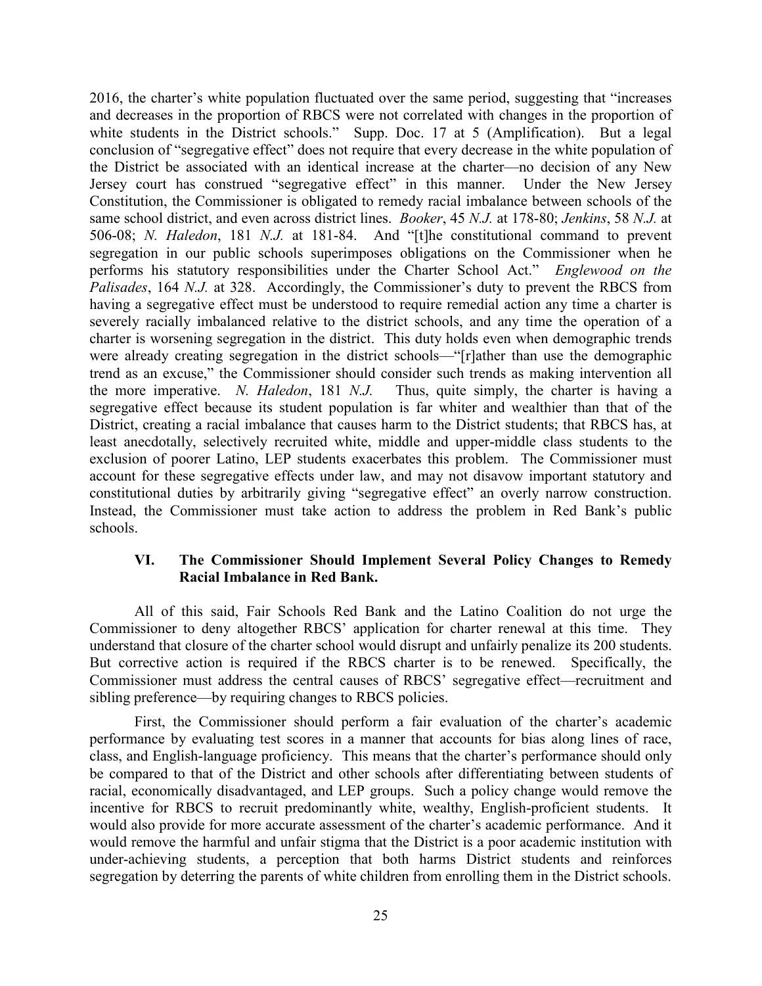2016, the charter's white population fluctuated over the same period, suggesting that "increases and decreases in the proportion of RBCS were not correlated with changes in the proportion of white students in the District schools." Supp. Doc. 17 at 5 (Amplification). But a legal conclusion of "segregative effect" does not require that every decrease in the white population of the District be associated with an identical increase at the charter—no decision of any New Jersey court has construed "segregative effect" in this manner. Under the New Jersey Constitution, the Commissioner is obligated to remedy racial imbalance between schools of the same school district, and even across district lines. *Booker*, 45 *N.J.* at 178-80; *Jenkins*, 58 *N.J.* at 506-08; *N. Haledon*, 181 *N.J.* at 181-84. And "[t]he constitutional command to prevent segregation in our public schools superimposes obligations on the Commissioner when he performs his statutory responsibilities under the Charter School Act." *Englewood on the Palisades*, 164 *N.J.* at 328. Accordingly, the Commissioner's duty to prevent the RBCS from having a segregative effect must be understood to require remedial action any time a charter is severely racially imbalanced relative to the district schools, and any time the operation of a charter is worsening segregation in the district. This duty holds even when demographic trends were already creating segregation in the district schools—"[r]ather than use the demographic trend as an excuse," the Commissioner should consider such trends as making intervention all the more imperative. *N. Haledon*, 181 *N.J.* Thus, quite simply, the charter is having a segregative effect because its student population is far whiter and wealthier than that of the District, creating a racial imbalance that causes harm to the District students; that RBCS has, at least anecdotally, selectively recruited white, middle and upper-middle class students to the exclusion of poorer Latino, LEP students exacerbates this problem. The Commissioner must account for these segregative effects under law, and may not disavow important statutory and constitutional duties by arbitrarily giving "segregative effect" an overly narrow construction. Instead, the Commissioner must take action to address the problem in Red Bank's public schools.

# **VI. The Commissioner Should Implement Several Policy Changes to Remedy Racial Imbalance in Red Bank.**

All of this said, Fair Schools Red Bank and the Latino Coalition do not urge the Commissioner to deny altogether RBCS' application for charter renewal at this time. They understand that closure of the charter school would disrupt and unfairly penalize its 200 students. But corrective action is required if the RBCS charter is to be renewed. Specifically, the Commissioner must address the central causes of RBCS' segregative effect—recruitment and sibling preference—by requiring changes to RBCS policies.

First, the Commissioner should perform a fair evaluation of the charter's academic performance by evaluating test scores in a manner that accounts for bias along lines of race, class, and English-language proficiency. This means that the charter's performance should only be compared to that of the District and other schools after differentiating between students of racial, economically disadvantaged, and LEP groups. Such a policy change would remove the incentive for RBCS to recruit predominantly white, wealthy, English-proficient students. It would also provide for more accurate assessment of the charter's academic performance. And it would remove the harmful and unfair stigma that the District is a poor academic institution with under-achieving students, a perception that both harms District students and reinforces segregation by deterring the parents of white children from enrolling them in the District schools.